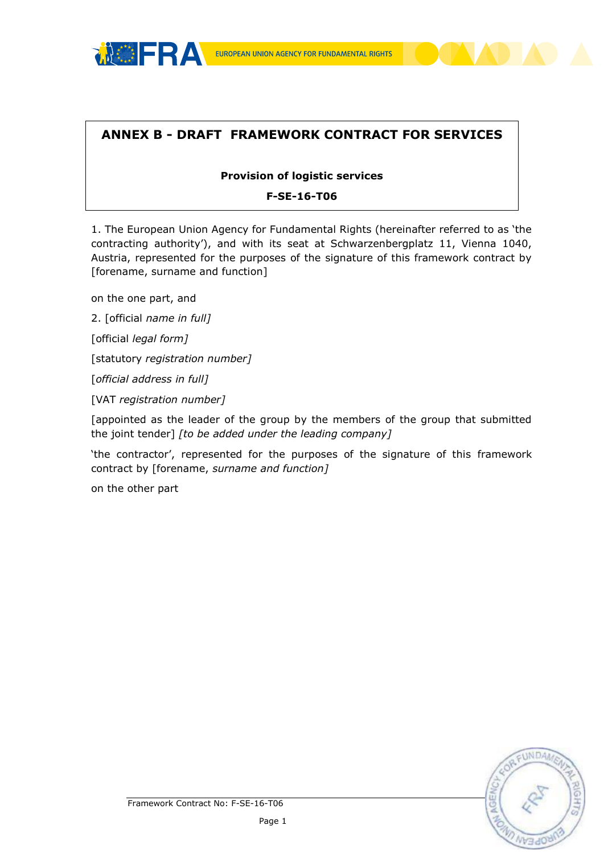

# **ANNEX B - DRAFT FRAMEWORK CONTRACT FOR SERVICES**

#### **Provision of logistic services**

#### **F-SE-16-T06**

1. The European Union Agency for Fundamental Rights (hereinafter referred to as 'the contracting authority'), and with its seat at Schwarzenbergplatz 11, Vienna 1040, Austria, represented for the purposes of the signature of this framework contract by [forename, surname and function]

on the one part, and

2. [official *name in full]*

[official *legal form]*

[statutory *registration number]*

[*official address in full]*

[VAT *registration number]*

[appointed as the leader of the group by the members of the group that submitted the joint tender] *[to be added under the leading company]*

'the contractor', represented for the purposes of the signature of this framework contract by [forename, *surname and function]*

on the other part

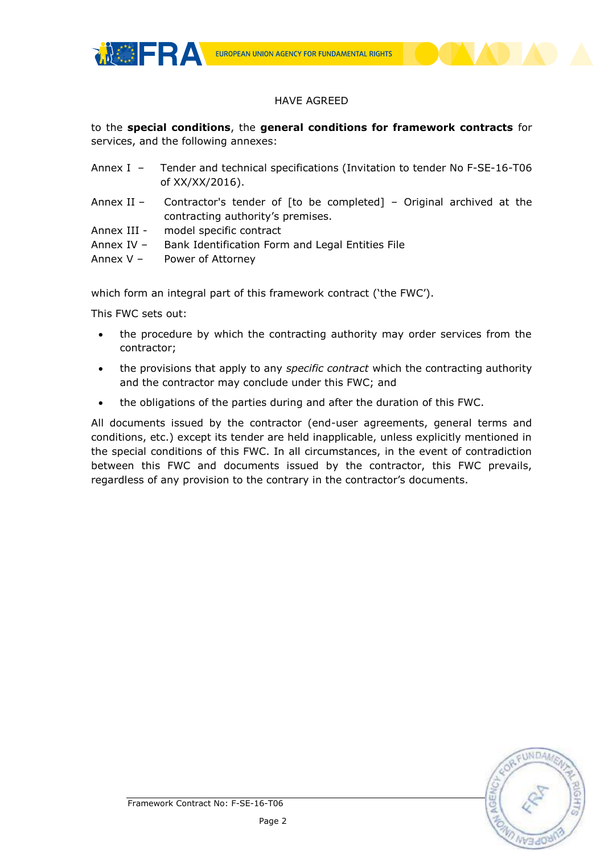



# HAVE AGREED

to the **special conditions**, the **general conditions for framework contracts** for services, and the following annexes:

| Annex I - Tender and technical specifications (Invitation to tender No F-SE-16-T06 |
|------------------------------------------------------------------------------------|
| of XX/XX/2016).                                                                    |

Annex II – Contractor's tender of [to be completed] – Original archived at the contracting authority's premises.

Annex III - model specific contract

Annex IV – Bank Identification Form and Legal Entities File

Annex V – Power of Attorney

which form an integral part of this framework contract ('the FWC').

This FWC sets out:

- the procedure by which the contracting authority may order services from the contractor;
- the provisions that apply to any *specific contract* which the contracting authority and the contractor may conclude under this FWC; and
- the obligations of the parties during and after the duration of this FWC.

All documents issued by the contractor (end-user agreements, general terms and conditions, etc.) except its tender are held inapplicable, unless explicitly mentioned in the special conditions of this FWC. In all circumstances, in the event of contradiction between this FWC and documents issued by the contractor, this FWC prevails, regardless of any provision to the contrary in the contractor's documents.

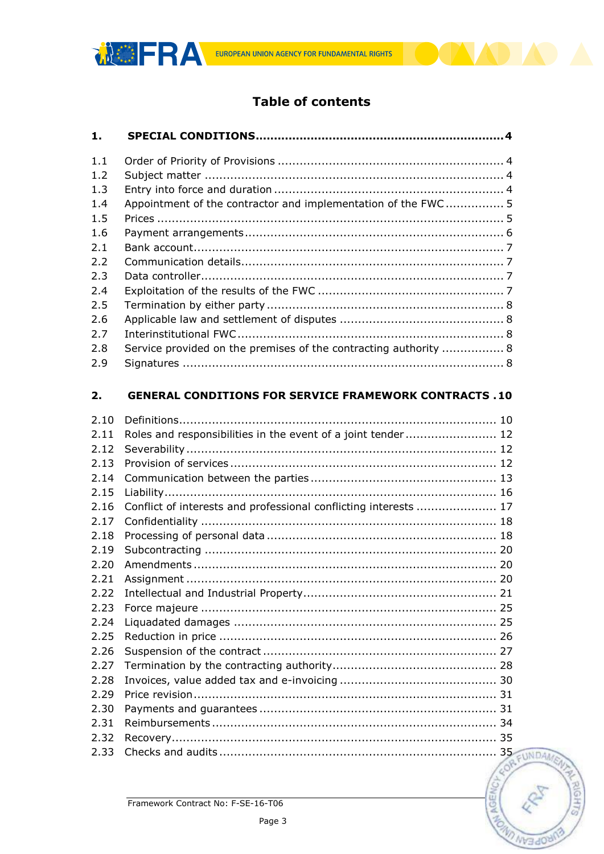

# **Table of contents**

| 1.   |                                                                  |  |
|------|------------------------------------------------------------------|--|
| 1.1  |                                                                  |  |
| 1.2  |                                                                  |  |
| 1.3  |                                                                  |  |
| 1.4  | Appointment of the contractor and implementation of the FWC 5    |  |
| 1.5  |                                                                  |  |
| 1.6  |                                                                  |  |
| 2.1  |                                                                  |  |
| 2.2  |                                                                  |  |
| 2.3  |                                                                  |  |
| 2.4  |                                                                  |  |
| 2.5  |                                                                  |  |
| 2.6  |                                                                  |  |
| 2.7  |                                                                  |  |
| 2.8  | Service provided on the premises of the contracting authority  8 |  |
| 2.9  |                                                                  |  |
|      |                                                                  |  |
| 2.   | <b>GENERAL CONDITIONS FOR SERVICE FRAMEWORK CONTRACTS . 10</b>   |  |
| 2.10 |                                                                  |  |
| 2.11 | Roles and responsibilities in the event of a joint tender 12     |  |
| 2.12 |                                                                  |  |
| 2.13 |                                                                  |  |
| 2.14 |                                                                  |  |
| 2.15 |                                                                  |  |
| 2.16 | Conflict of interests and professional conflicting interests  17 |  |
| 2.17 |                                                                  |  |
| 2.18 |                                                                  |  |
| 2.19 |                                                                  |  |
| 2.20 |                                                                  |  |
| 2.21 |                                                                  |  |
| 2.22 |                                                                  |  |
| 2.23 |                                                                  |  |
| 2.24 |                                                                  |  |
| 2.25 |                                                                  |  |
| 2.26 |                                                                  |  |
| 2.27 |                                                                  |  |
| 2.28 |                                                                  |  |
| 2.29 |                                                                  |  |
| 2.30 |                                                                  |  |
| 2.31 |                                                                  |  |
| 2.32 |                                                                  |  |
| 2.33 |                                                                  |  |

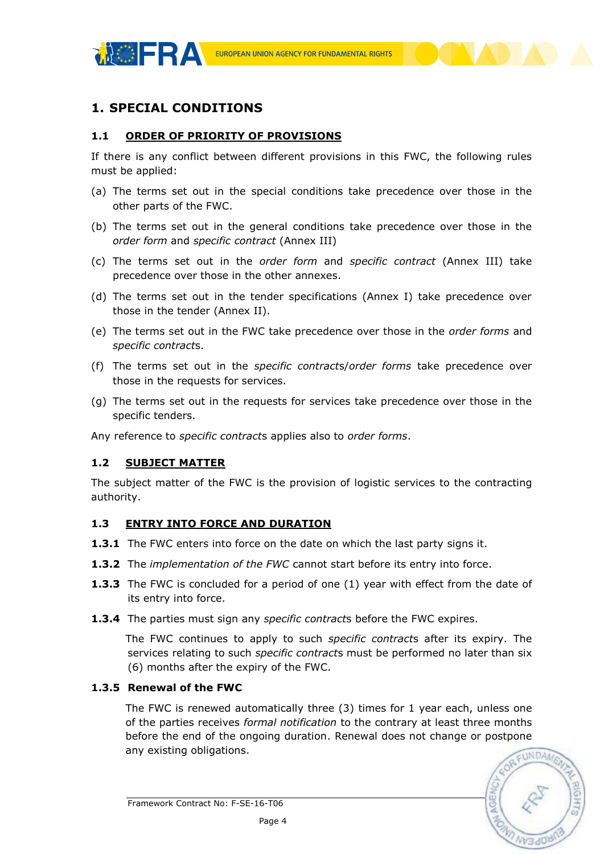

# <span id="page-3-0"></span>**1. SPECIAL CONDITIONS**

#### <span id="page-3-1"></span>**1.1 ORDER OF PRIORITY OF PROVISIONS**

If there is any conflict between different provisions in this FWC, the following rules must be applied:

- (a) The terms set out in the special conditions take precedence over those in the other parts of the FWC.
- (b) The terms set out in the general conditions take precedence over those in the *order form* and *specific contract* (Annex III)
- (c) The terms set out in the *order form* and *specific contract* (Annex III) take precedence over those in the other annexes.
- (d) The terms set out in the tender specifications (Annex I) take precedence over those in the tender (Annex II).
- (e) The terms set out in the FWC take precedence over those in the *order forms* and *specific contract*s.
- (f) The terms set out in the *specific contract*s/*order forms* take precedence over those in the requests for services.
- (g) The terms set out in the requests for services take precedence over those in the specific tenders.

Any reference to *specific contract*s applies also to *order forms*.

#### <span id="page-3-2"></span>**1.2 SUBJECT MATTER**

The subject matter of the FWC is the provision of logistic services to the contracting authority.

#### <span id="page-3-3"></span>**1.3 ENTRY INTO FORCE AND DURATION**

- **1.3.1** The FWC enters into force on the date on which the last party signs it.
- **1.3.2** The *implementation of the FWC* cannot start before its entry into force.
- **1.3.3** The FWC is concluded for a period of one (1) year with effect from the date of its entry into force.
- **1.3.4** The parties must sign any *specific contract*s before the FWC expires.

The FWC continues to apply to such *specific contract*s after its expiry. The services relating to such *specific contract*s must be performed no later than six (6) months after the expiry of the FWC.

#### **1.3.5 Renewal of the FWC**

The FWC is renewed automatically three (3) times for 1 year each, unless one of the parties receives *formal notification* to the contrary at least three months before the end of the ongoing duration. Renewal does not change or postpone any existing obligations.

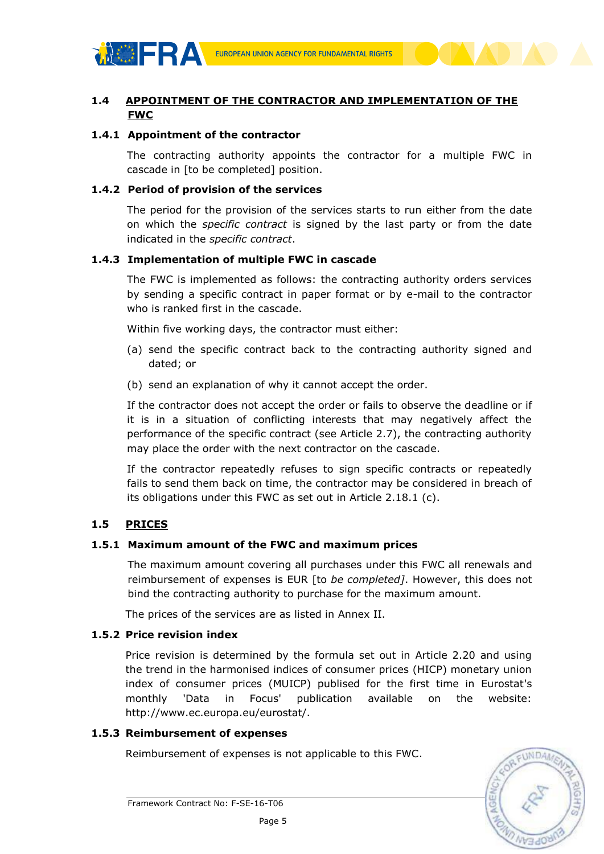

# <span id="page-4-0"></span>**1.4 APPOINTMENT OF THE CONTRACTOR AND IMPLEMENTATION OF THE FWC**

#### **1.4.1 Appointment of the contractor**

The contracting authority appoints the contractor for a multiple FWC in cascade in [to be completed] position.

#### **1.4.2 Period of provision of the services**

The period for the provision of the services starts to run either from the date on which the *specific contract* is signed by the last party or from the date indicated in the *specific contract*.

#### **1.4.3 Implementation of multiple FWC in cascade**

The FWC is implemented as follows: the contracting authority orders services by sending a specific contract in paper format or by e-mail to the contractor who is ranked first in the cascade.

Within five working days, the contractor must either:

- (a) send the specific contract back to the contracting authority signed and dated; or
- (b) send an explanation of why it cannot accept the order.

If the contractor does not accept the order or fails to observe the deadline or if it is in a situation of conflicting interests that may negatively affect the performance of the specific contract (see Article 2.7), the contracting authority may place the order with the next contractor on the cascade.

If the contractor repeatedly refuses to sign specific contracts or repeatedly fails to send them back on time, the contractor may be considered in breach of its obligations under this FWC as set out in Article 2.18.1 (c).

#### <span id="page-4-1"></span>**1.5 PRICES**

#### **1.5.1 Maximum amount of the FWC and maximum prices**

The maximum amount covering all purchases under this FWC all renewals and reimbursement of expenses is EUR [to *be completed]*. However, this does not bind the contracting authority to purchase for the maximum amount.

The prices of the services are as listed in Annex II.

#### **1.5.2 Price revision index**

Price revision is determined by the formula set out in Article 2.20 and using the trend in the harmonised indices of consumer prices (HICP) monetary union index of consumer prices (MUICP) publised for the first time in Eurostat's monthly 'Data in Focus' publication available on the website: http://www.ec.europa.eu/eurostat/.

#### **1.5.3 Reimbursement of expenses**

Reimbursement of expenses is not applicable to this FWC.

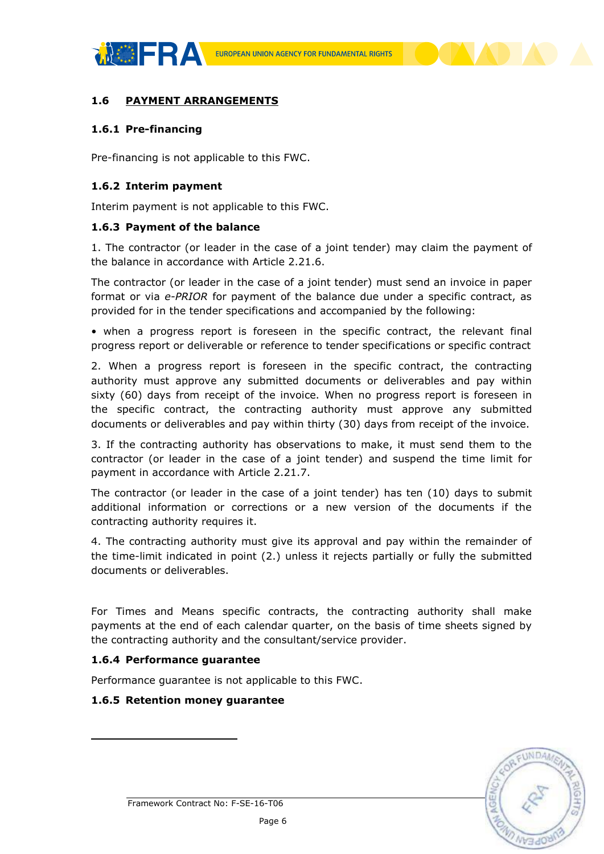

## <span id="page-5-0"></span>**1.6 PAYMENT ARRANGEMENTS**

#### **1.6.1 Pre-financing**

Pre-financing is not applicable to this FWC.

#### **1.6.2 Interim payment**

Interim payment is not applicable to this FWC.

#### **1.6.3 Payment of the balance**

1. The contractor (or leader in the case of a joint tender) may claim the payment of the balance in accordance with Article 2.21.6.

The contractor (or leader in the case of a joint tender) must send an invoice in paper format or via *e-PRIOR* for payment of the balance due under a specific contract, as provided for in the tender specifications and accompanied by the following:

• when a progress report is foreseen in the specific contract, the relevant final progress report or deliverable or reference to tender specifications or specific contract

2. When a progress report is foreseen in the specific contract, the contracting authority must approve any submitted documents or deliverables and pay within sixty (60) days from receipt of the invoice. When no progress report is foreseen in the specific contract, the contracting authority must approve any submitted documents or deliverables and pay within thirty (30) days from receipt of the invoice.

3. If the contracting authority has observations to make, it must send them to the contractor (or leader in the case of a joint tender) and suspend the time limit for payment in accordance with Article 2.21.7.

The contractor (or leader in the case of a joint tender) has ten (10) days to submit additional information or corrections or a new version of the documents if the contracting authority requires it.

4. The contracting authority must give its approval and pay within the remainder of the time-limit indicated in point (2.) unless it rejects partially or fully the submitted documents or deliverables.

For Times and Means specific contracts, the contracting authority shall make payments at the end of each calendar quarter, on the basis of time sheets signed by the contracting authority and the consultant/service provider.

#### **1.6.4 Performance guarantee**

1

Performance guarantee is not applicable to this FWC.

#### **1.6.5 Retention money guarantee**

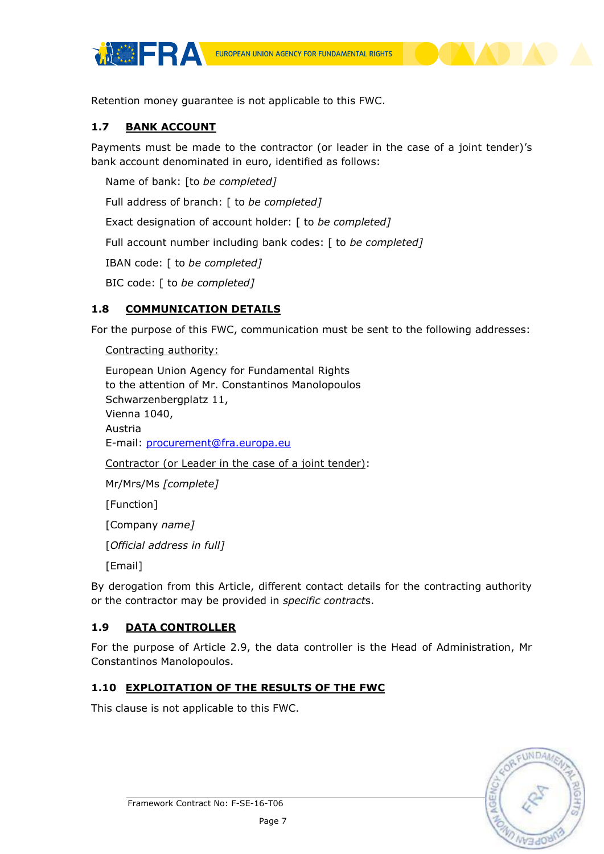

Retention money guarantee is not applicable to this FWC.

## <span id="page-6-0"></span>**1.7 BANK ACCOUNT**

Payments must be made to the contractor (or leader in the case of a joint tender)'s bank account denominated in euro, identified as follows:

Name of bank: [to *be completed]*

Full address of branch: [ to *be completed]*

Exact designation of account holder: [ to *be completed]*

Full account number including bank codes: [ to *be completed]*

IBAN code: [ to *be completed]*

BIC code: [ to *be completed]*

# <span id="page-6-1"></span>**1.8 COMMUNICATION DETAILS**

For the purpose of this FWC, communication must be sent to the following addresses:

Contracting authority:

European Union Agency for Fundamental Rights to the attention of Mr. Constantinos Manolopoulos Schwarzenbergplatz 11, Vienna 1040, Austria E-mail: [procurement@fra.europa.eu](mailto:procurement@fra.europa.eu)

Contractor (or Leader in the case of a joint tender):

Mr/Mrs/Ms *[complete]*

[Function]

[Company *name]*

[*Official address in full]*

[Email]

By derogation from this Article, different contact details for the contracting authority or the contractor may be provided in *specific contract*s.

# <span id="page-6-2"></span>**1.9 DATA CONTROLLER**

For the purpose of Article 2.9, the data controller is the Head of Administration, Mr Constantinos Manolopoulos.

# <span id="page-6-3"></span>**1.10 EXPLOITATION OF THE RESULTS OF THE FWC**

This clause is not applicable to this FWC.

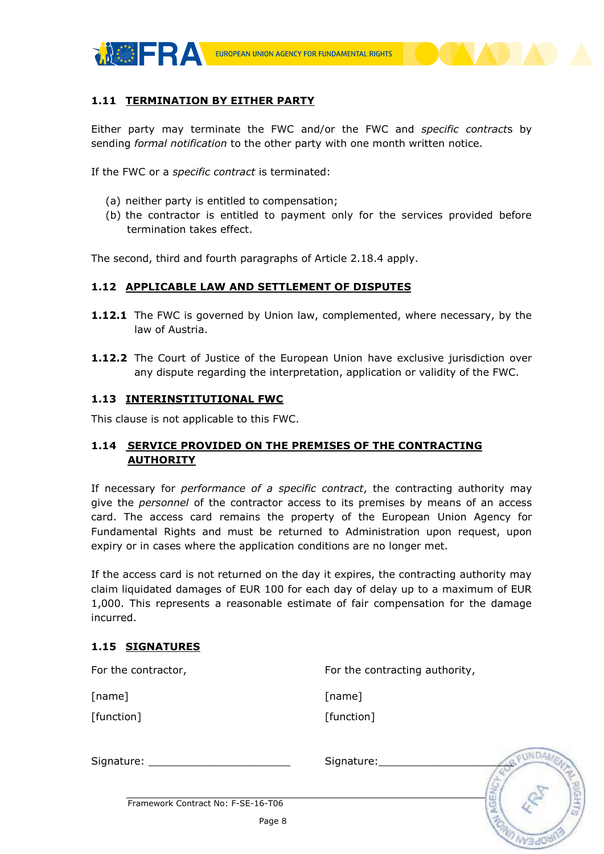

## <span id="page-7-0"></span>**1.11 TERMINATION BY EITHER PARTY**

Either party may terminate the FWC and/or the FWC and *specific contract*s by sending *formal notification* to the other party with one month written notice.

If the FWC or a *specific contract* is terminated:

- (a) neither party is entitled to compensation;
- (b) the contractor is entitled to payment only for the services provided before termination takes effect.

The second, third and fourth paragraphs of Article 2.18.4 apply.

#### <span id="page-7-1"></span>**1.12 APPLICABLE LAW AND SETTLEMENT OF DISPUTES**

- **1.12.1** The FWC is governed by Union law, complemented, where necessary, by the law of Austria.
- **1.12.2** The Court of Justice of the European Union have exclusive jurisdiction over any dispute regarding the interpretation, application or validity of the FWC.

#### <span id="page-7-2"></span>**1.13 INTERINSTITUTIONAL FWC**

<span id="page-7-3"></span>This clause is not applicable to this FWC.

## **1.14 SERVICE PROVIDED ON THE PREMISES OF THE CONTRACTING AUTHORITY**

If necessary for *performance of a specific contract*, the contracting authority may give the *personnel* of the contractor access to its premises by means of an access card. The access card remains the property of the European Union Agency for Fundamental Rights and must be returned to Administration upon request, upon expiry or in cases where the application conditions are no longer met.

If the access card is not returned on the day it expires, the contracting authority may claim liquidated damages of EUR 100 for each day of delay up to a maximum of EUR 1,000. This represents a reasonable estimate of fair compensation for the damage incurred.

#### <span id="page-7-4"></span>**1.15 SIGNATURES**

| For the contractor, | For the contracting authority, |  |
|---------------------|--------------------------------|--|
| [name]              | [name]                         |  |
| [function]          | [function]                     |  |
| Signature:          | Signature:                     |  |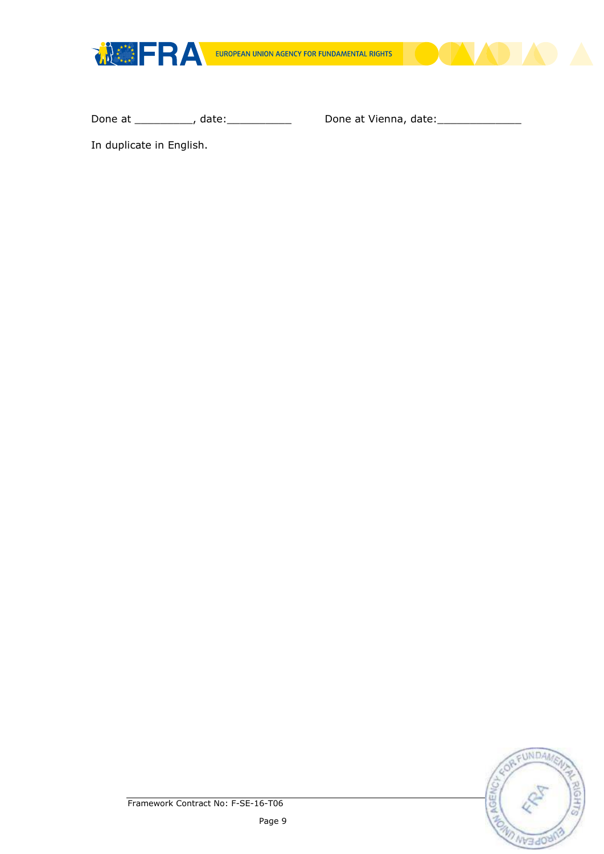



In duplicate in English.

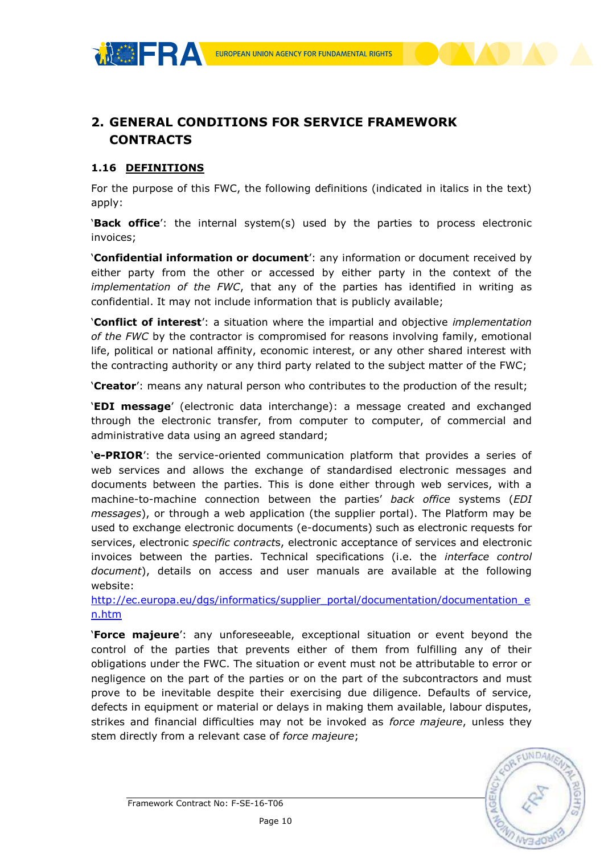





# <span id="page-9-1"></span>**1.16 DEFINITIONS**

<span id="page-9-0"></span>**CONTRACTS**

For the purpose of this FWC, the following definitions (indicated in italics in the text) apply:

'**Back office**': the internal system(s) used by the parties to process electronic invoices;

'**Confidential information or document**': any information or document received by either party from the other or accessed by either party in the context of the *implementation of the FWC*, that any of the parties has identified in writing as confidential. It may not include information that is publicly available;

'**Conflict of interest**': a situation where the impartial and objective *implementation of the FWC* by the contractor is compromised for reasons involving family, emotional life, political or national affinity, economic interest, or any other shared interest with the contracting authority or any third party related to the subject matter of the FWC;

'**Creator**': means any natural person who contributes to the production of the result;

'**EDI message**' (electronic data interchange): a message created and exchanged through the electronic transfer, from computer to computer, of commercial and administrative data using an agreed standard;

'**e-PRIOR**': the service-oriented communication platform that provides a series of web services and allows the exchange of standardised electronic messages and documents between the parties. This is done either through web services, with a machine-to-machine connection between the parties' *back office* systems (*EDI messages*), or through a web application (the supplier portal). The Platform may be used to exchange electronic documents (e-documents) such as electronic requests for services, electronic *specific contract*s, electronic acceptance of services and electronic invoices between the parties. Technical specifications (i.e. the *interface control document*), details on access and user manuals are available at the following website:

[http://ec.europa.eu/dgs/informatics/supplier\\_portal/documentation/documentation\\_e](http://ec.europa.eu/dgs/informatics/supplier_portal/documentation/documentation_en.htm) [n.htm](http://ec.europa.eu/dgs/informatics/supplier_portal/documentation/documentation_en.htm)

'**Force majeure**': any unforeseeable, exceptional situation or event beyond the control of the parties that prevents either of them from fulfilling any of their obligations under the FWC. The situation or event must not be attributable to error or negligence on the part of the parties or on the part of the subcontractors and must prove to be inevitable despite their exercising due diligence. Defaults of service, defects in equipment or material or delays in making them available, labour disputes, strikes and financial difficulties may not be invoked as *force majeure*, unless they stem directly from a relevant case of *force majeure*;

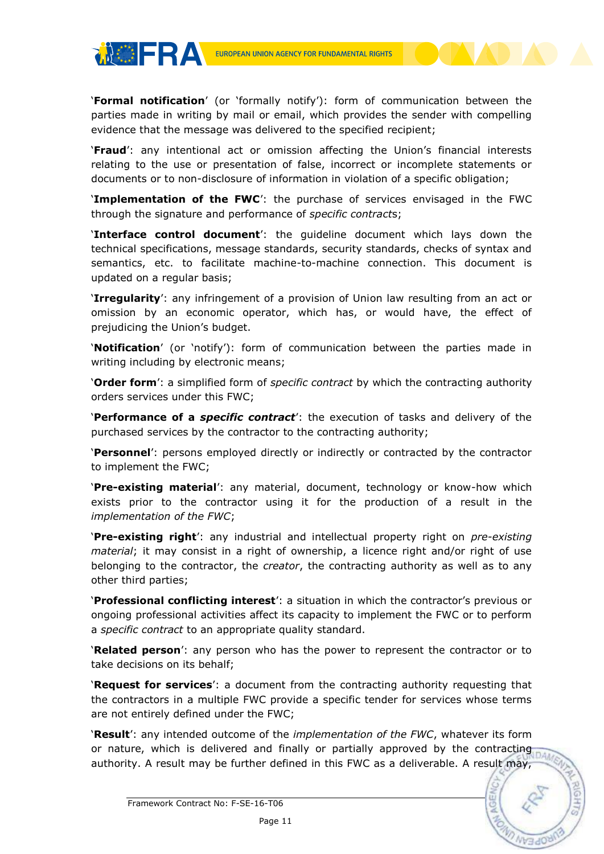**THERA** 

'**Formal notification**' (or 'formally notify'): form of communication between the parties made in writing by mail or email, which provides the sender with compelling evidence that the message was delivered to the specified recipient;

'**Fraud**': any intentional act or omission affecting the Union's financial interests relating to the use or presentation of false, incorrect or incomplete statements or documents or to non-disclosure of information in violation of a specific obligation;

'**Implementation of the FWC**': the purchase of services envisaged in the FWC through the signature and performance of *specific contract*s;

'**Interface control document**': the guideline document which lays down the technical specifications, message standards, security standards, checks of syntax and semantics, etc. to facilitate machine-to-machine connection. This document is updated on a regular basis;

'**Irregularity**': any infringement of a provision of Union law resulting from an act or omission by an economic operator, which has, or would have, the effect of prejudicing the Union's budget.

'**Notification**' (or 'notify'): form of communication between the parties made in writing including by electronic means;

'**Order form**': a simplified form of *specific contract* by which the contracting authority orders services under this FWC;

'**Performance of a** *specific contract*': the execution of tasks and delivery of the purchased services by the contractor to the contracting authority;

'**Personnel**': persons employed directly or indirectly or contracted by the contractor to implement the FWC;

'**Pre-existing material**': any material, document, technology or know-how which exists prior to the contractor using it for the production of a result in the *implementation of the FWC*;

'**Pre-existing right**': any industrial and intellectual property right on *pre-existing material*; it may consist in a right of ownership, a licence right and/or right of use belonging to the contractor, the *creator*, the contracting authority as well as to any other third parties;

'**Professional conflicting interest**': a situation in which the contractor's previous or ongoing professional activities affect its capacity to implement the FWC or to perform a *specific contract* to an appropriate quality standard.

'**Related person**': any person who has the power to represent the contractor or to take decisions on its behalf;

'**Request for services**': a document from the contracting authority requesting that the contractors in a multiple FWC provide a specific tender for services whose terms are not entirely defined under the FWC;

'**Result**': any intended outcome of the *implementation of the FWC*, whatever its form or nature, which is delivered and finally or partially approved by the contracting authority. A result may be further defined in this FWC as a deliverable. A result may,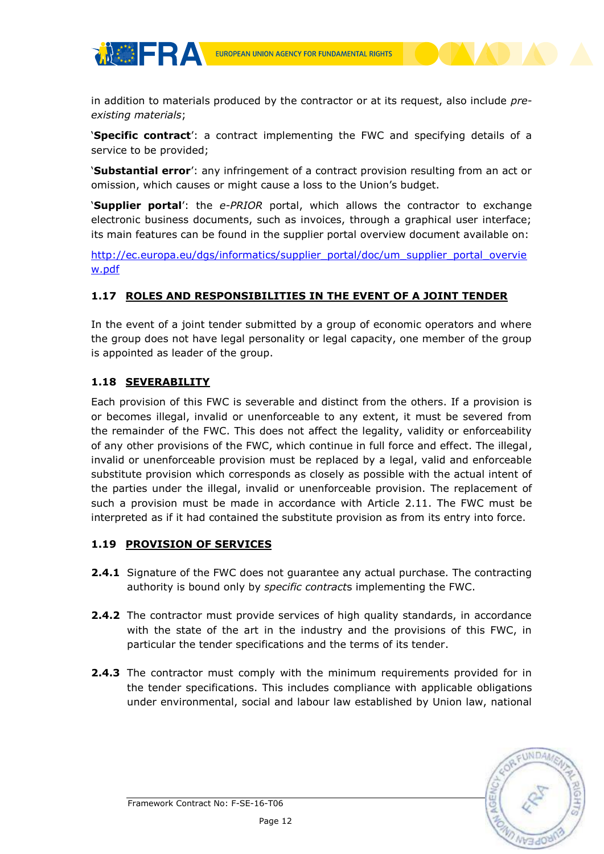

in addition to materials produced by the contractor or at its request, also include *preexisting materials*;

'**Specific contract**': a contract implementing the FWC and specifying details of a service to be provided;

'**Substantial error**': any infringement of a contract provision resulting from an act or omission, which causes or might cause a loss to the Union's budget.

'**Supplier portal**': the *e-PRIOR* portal, which allows the contractor to exchange electronic business documents, such as invoices, through a graphical user interface; its main features can be found in the supplier portal overview document available on:

[http://ec.europa.eu/dgs/informatics/supplier\\_portal/doc/um\\_supplier\\_portal\\_overvie](http://ec.europa.eu/dgs/informatics/supplier_portal/doc/um_supplier_portal_overview.pdf) [w.pdf](http://ec.europa.eu/dgs/informatics/supplier_portal/doc/um_supplier_portal_overview.pdf)

# <span id="page-11-0"></span>**1.17 ROLES AND RESPONSIBILITIES IN THE EVENT OF A JOINT TENDER**

In the event of a joint tender submitted by a group of economic operators and where the group does not have legal personality or legal capacity, one member of the group is appointed as leader of the group.

# <span id="page-11-1"></span>**1.18 SEVERABILITY**

**THERA** 

Each provision of this FWC is severable and distinct from the others. If a provision is or becomes illegal, invalid or unenforceable to any extent, it must be severed from the remainder of the FWC. This does not affect the legality, validity or enforceability of any other provisions of the FWC, which continue in full force and effect. The illegal, invalid or unenforceable provision must be replaced by a legal, valid and enforceable substitute provision which corresponds as closely as possible with the actual intent of the parties under the illegal, invalid or unenforceable provision. The replacement of such a provision must be made in accordance with Article 2.11. The FWC must be interpreted as if it had contained the substitute provision as from its entry into force.

# <span id="page-11-2"></span>**1.19 PROVISION OF SERVICES**

- **2.4.1** Signature of the FWC does not guarantee any actual purchase. The contracting authority is bound only by *specific contract*s implementing the FWC.
- **2.4.2** The contractor must provide services of high quality standards, in accordance with the state of the art in the industry and the provisions of this FWC, in particular the tender specifications and the terms of its tender.
- **2.4.3** The contractor must comply with the minimum requirements provided for in the tender specifications. This includes compliance with applicable obligations under environmental, social and labour law established by Union law, national

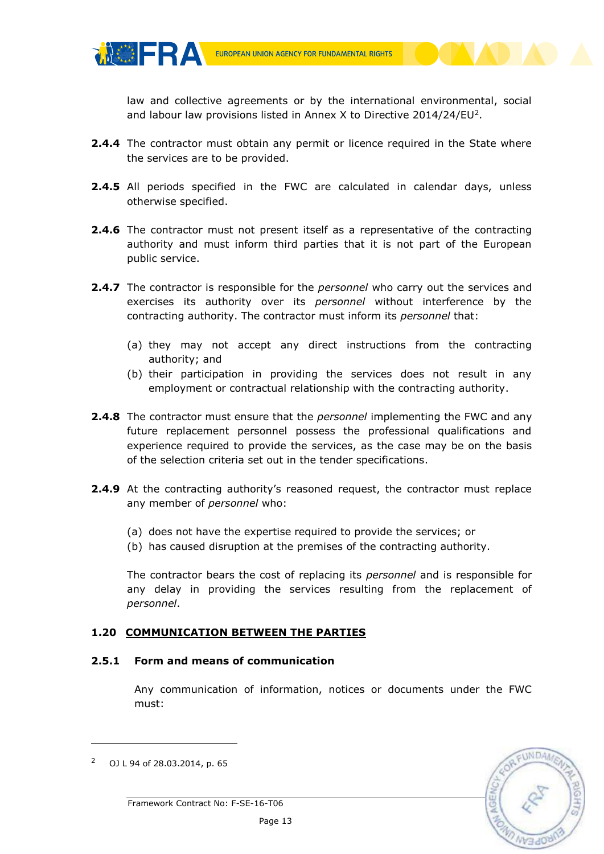

law and collective agreements or by the international environmental, social and labour law provisions listed in Annex X to Directive 2014/24/EU<sup>2</sup>.

- **2.4.4** The contractor must obtain any permit or licence required in the State where the services are to be provided.
- **2.4.5** All periods specified in the FWC are calculated in calendar days, unless otherwise specified.
- **2.4.6** The contractor must not present itself as a representative of the contracting authority and must inform third parties that it is not part of the European public service.
- **2.4.7** The contractor is responsible for the *personnel* who carry out the services and exercises its authority over its *personnel* without interference by the contracting authority. The contractor must inform its *personnel* that:
	- (a) they may not accept any direct instructions from the contracting authority; and
	- (b) their participation in providing the services does not result in any employment or contractual relationship with the contracting authority.
- **2.4.8** The contractor must ensure that the *personnel* implementing the FWC and any future replacement personnel possess the professional qualifications and experience required to provide the services, as the case may be on the basis of the selection criteria set out in the tender specifications.
- **2.4.9** At the contracting authority's reasoned request, the contractor must replace any member of *personnel* who:
	- (a) does not have the expertise required to provide the services; or
	- (b) has caused disruption at the premises of the contracting authority.

The contractor bears the cost of replacing its *personnel* and is responsible for any delay in providing the services resulting from the replacement of *personnel*.

## <span id="page-12-0"></span>**1.20 COMMUNICATION BETWEEN THE PARTIES**

#### **2.5.1 Form and means of communication**

Any communication of information, notices or documents under the FWC must:



**TACHERA** 

-

<sup>2</sup> OJ L 94 of 28.03.2014, p. 65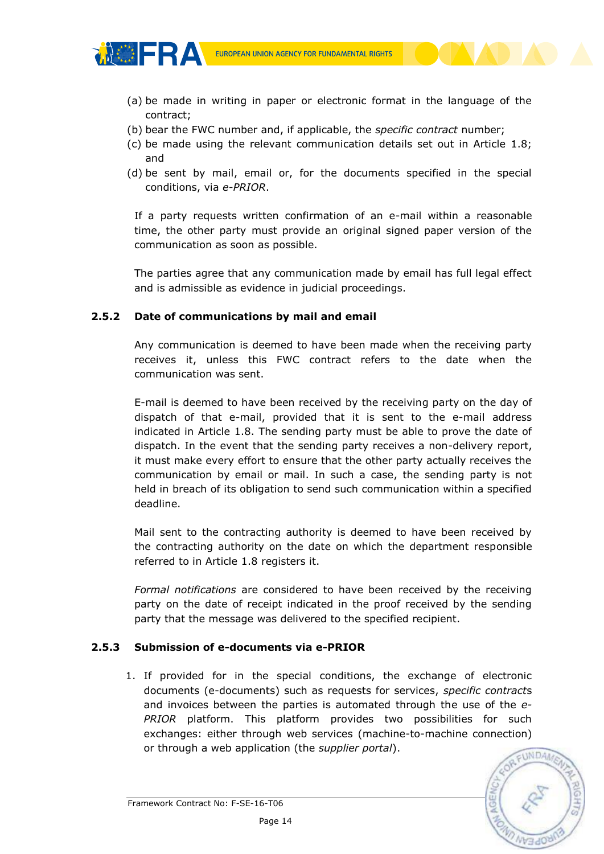- (a) be made in writing in paper or electronic format in the language of the contract;
- (b) bear the FWC number and, if applicable, the *specific contract* number;
- (c) be made using the relevant communication details set out in Article 1.8; and
- (d) be sent by mail, email or, for the documents specified in the special conditions, via *e-PRIOR*.

If a party requests written confirmation of an e-mail within a reasonable time, the other party must provide an original signed paper version of the communication as soon as possible.

The parties agree that any communication made by email has full legal effect and is admissible as evidence in judicial proceedings.

#### **2.5.2 Date of communications by mail and email**

**MOFRA** 

Any communication is deemed to have been made when the receiving party receives it, unless this FWC contract refers to the date when the communication was sent.

E-mail is deemed to have been received by the receiving party on the day of dispatch of that e-mail, provided that it is sent to the e-mail address indicated in Article 1.8. The sending party must be able to prove the date of dispatch. In the event that the sending party receives a non-delivery report, it must make every effort to ensure that the other party actually receives the communication by email or mail. In such a case, the sending party is not held in breach of its obligation to send such communication within a specified deadline.

Mail sent to the contracting authority is deemed to have been received by the contracting authority on the date on which the department responsible referred to in Article 1.8 registers it.

*Formal notifications* are considered to have been received by the receiving party on the date of receipt indicated in the proof received by the sending party that the message was delivered to the specified recipient.

#### **2.5.3 Submission of e-documents via e-PRIOR**

1. If provided for in the special conditions, the exchange of electronic documents (e-documents) such as requests for services, *specific contract*s and invoices between the parties is automated through the use of the *e-PRIOR* platform. This platform provides two possibilities for such exchanges: either through web services (machine-to-machine connection) or through a web application (the *supplier portal*).

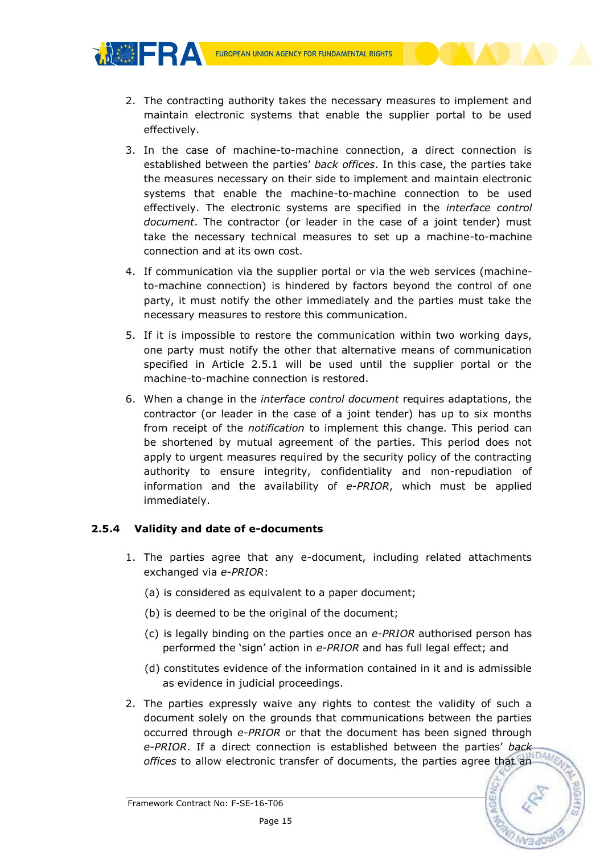- 2. The contracting authority takes the necessary measures to implement and maintain electronic systems that enable the supplier portal to be used effectively.
- 3. In the case of machine-to-machine connection, a direct connection is established between the parties' *back offices*. In this case, the parties take the measures necessary on their side to implement and maintain electronic systems that enable the machine-to-machine connection to be used effectively. The electronic systems are specified in the *interface control document*. The contractor (or leader in the case of a joint tender) must take the necessary technical measures to set up a machine-to-machine connection and at its own cost.
- 4. If communication via the supplier portal or via the web services (machineto-machine connection) is hindered by factors beyond the control of one party, it must notify the other immediately and the parties must take the necessary measures to restore this communication.
- 5. If it is impossible to restore the communication within two working days, one party must notify the other that alternative means of communication specified in Article 2.5.1 will be used until the supplier portal or the machine-to-machine connection is restored.
- 6. When a change in the *interface control document* requires adaptations, the contractor (or leader in the case of a joint tender) has up to six months from receipt of the *notification* to implement this change. This period can be shortened by mutual agreement of the parties. This period does not apply to urgent measures required by the security policy of the contracting authority to ensure integrity, confidentiality and non-repudiation of information and the availability of *e-PRIOR*, which must be applied immediately.

# **2.5.4 Validity and date of e-documents**

**MOFRA** 

- 1. The parties agree that any e-document, including related attachments exchanged via *e-PRIOR*:
	- (a) is considered as equivalent to a paper document;
	- (b) is deemed to be the original of the document;
	- (c) is legally binding on the parties once an *e-PRIOR* authorised person has performed the 'sign' action in *e-PRIOR* and has full legal effect; and
	- (d) constitutes evidence of the information contained in it and is admissible as evidence in judicial proceedings.
- 2. The parties expressly waive any rights to contest the validity of such a document solely on the grounds that communications between the parties occurred through *e-PRIOR* or that the document has been signed through *e-PRIOR*. If a direct connection is established between the parties' *back offices* to allow electronic transfer of documents, the parties agree that an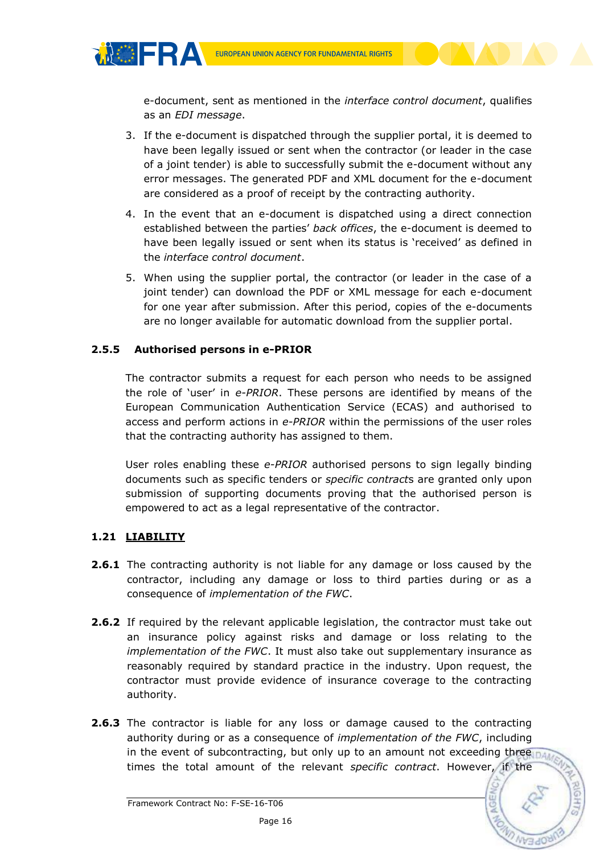

e-document, sent as mentioned in the *interface control document*, qualifies as an *EDI message*.

- 3. If the e-document is dispatched through the supplier portal, it is deemed to have been legally issued or sent when the contractor (or leader in the case of a joint tender) is able to successfully submit the e-document without any error messages. The generated PDF and XML document for the e-document are considered as a proof of receipt by the contracting authority.
- 4. In the event that an e-document is dispatched using a direct connection established between the parties' *back offices*, the e-document is deemed to have been legally issued or sent when its status is 'received' as defined in the *interface control document*.
- 5. When using the supplier portal, the contractor (or leader in the case of a joint tender) can download the PDF or XML message for each e-document for one year after submission. After this period, copies of the e-documents are no longer available for automatic download from the supplier portal.

# **2.5.5 Authorised persons in e-PRIOR**

The contractor submits a request for each person who needs to be assigned the role of 'user' in *e-PRIOR*. These persons are identified by means of the European Communication Authentication Service (ECAS) and authorised to access and perform actions in *e-PRIOR* within the permissions of the user roles that the contracting authority has assigned to them.

User roles enabling these *e-PRIOR* authorised persons to sign legally binding documents such as specific tenders or *specific contract*s are granted only upon submission of supporting documents proving that the authorised person is empowered to act as a legal representative of the contractor.

# <span id="page-15-0"></span>**1.21 LIABILITY**

**MOERA** 

- **2.6.1** The contracting authority is not liable for any damage or loss caused by the contractor, including any damage or loss to third parties during or as a consequence of *implementation of the FWC*.
- **2.6.2** If required by the relevant applicable legislation, the contractor must take out an insurance policy against risks and damage or loss relating to the *implementation of the FWC*. It must also take out supplementary insurance as reasonably required by standard practice in the industry. Upon request, the contractor must provide evidence of insurance coverage to the contracting authority.
- **2.6.3** The contractor is liable for any loss or damage caused to the contracting authority during or as a consequence of *implementation of the FWC*, including in the event of subcontracting, but only up to an amount not exceeding three  $\frac{1}{100}$ times the total amount of the relevant *specific contract*. However, if the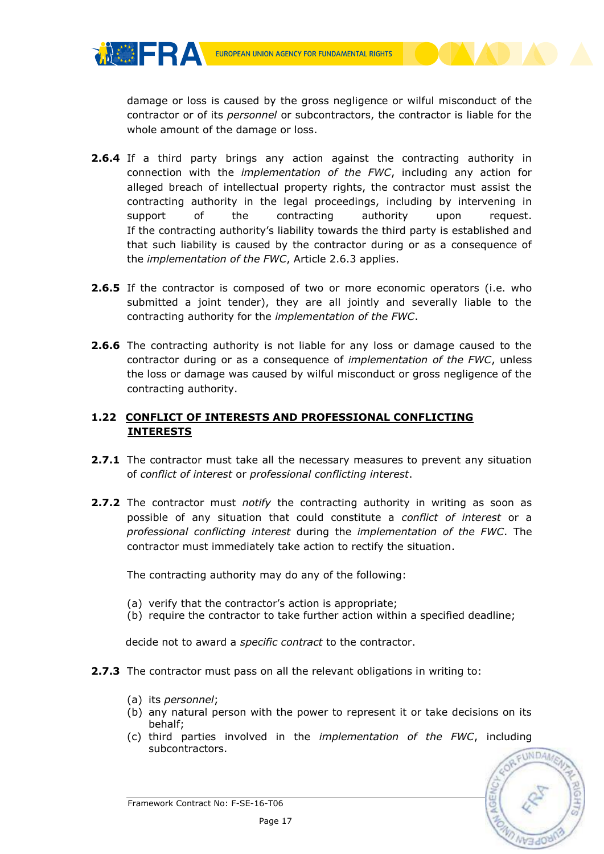damage or loss is caused by the gross negligence or wilful misconduct of the contractor or of its *personnel* or subcontractors, the contractor is liable for the whole amount of the damage or loss.

- **2.6.4** If a third party brings any action against the contracting authority in connection with the *implementation of the FWC*, including any action for alleged breach of intellectual property rights, the contractor must assist the contracting authority in the legal proceedings, including by intervening in support of the contracting authority upon request. If the contracting authority's liability towards the third party is established and that such liability is caused by the contractor during or as a consequence of the *implementation of the FWC*, Article 2.6.3 applies.
- **2.6.5** If the contractor is composed of two or more economic operators (i.e. who submitted a joint tender), they are all jointly and severally liable to the contracting authority for the *implementation of the FWC*.
- **2.6.6** The contracting authority is not liable for any loss or damage caused to the contractor during or as a consequence of *implementation of the FWC*, unless the loss or damage was caused by wilful misconduct or gross negligence of the contracting authority.

# <span id="page-16-0"></span>**1.22 CONFLICT OF INTERESTS AND PROFESSIONAL CONFLICTING INTERESTS**

- **2.7.1** The contractor must take all the necessary measures to prevent any situation of *conflict of interest* or *professional conflicting interest*.
- **2.7.2** The contractor must *notify* the contracting authority in writing as soon as possible of any situation that could constitute a *conflict of interest* or a *professional conflicting interest* during the *implementation of the FWC*. The contractor must immediately take action to rectify the situation.

The contracting authority may do any of the following:

- (a) verify that the contractor's action is appropriate;
- (b) require the contractor to take further action within a specified deadline;

decide not to award a *specific contract* to the contractor.

- **2.7.3** The contractor must pass on all the relevant obligations in writing to:
	- (a) its *personnel*;

**MOFRA** 

- (b) any natural person with the power to represent it or take decisions on its behalf;
- (c) third parties involved in the *implementation of the FWC*, including subcontractors.



Framework Contract No: F-SE-16-T06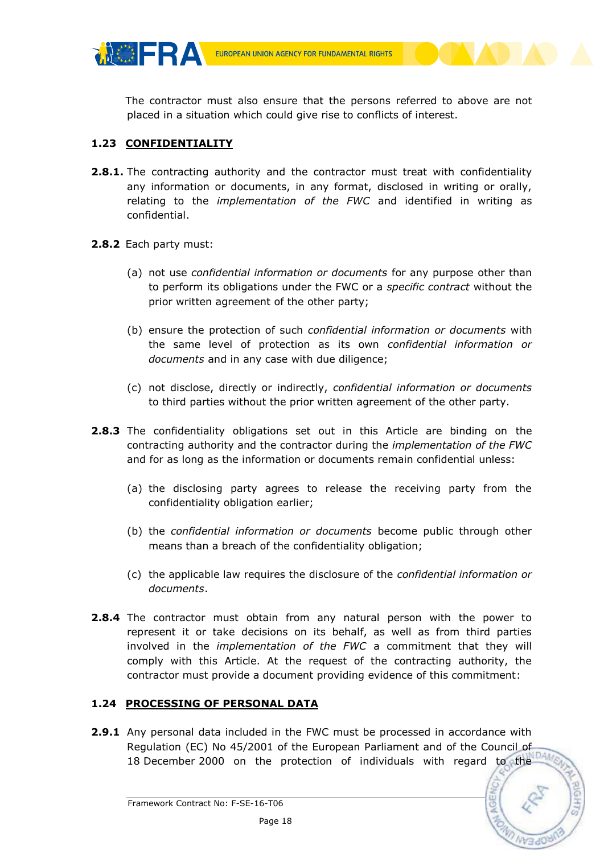

The contractor must also ensure that the persons referred to above are not placed in a situation which could give rise to conflicts of interest.

# <span id="page-17-0"></span>**1.23 CONFIDENTIALITY**

**MOFRA** 

- **2.8.1.** The contracting authority and the contractor must treat with confidentiality any information or documents, in any format, disclosed in writing or orally, relating to the *implementation of the FWC* and identified in writing as confidential.
- **2.8.2** Each party must:
	- (a) not use *confidential information or documents* for any purpose other than to perform its obligations under the FWC or a *specific contract* without the prior written agreement of the other party;
	- (b) ensure the protection of such *confidential information or documents* with the same level of protection as its own *confidential information or documents* and in any case with due diligence;
	- (c) not disclose, directly or indirectly, *confidential information or documents* to third parties without the prior written agreement of the other party.
- **2.8.3** The confidentiality obligations set out in this Article are binding on the contracting authority and the contractor during the *implementation of the FWC* and for as long as the information or documents remain confidential unless:
	- (a) the disclosing party agrees to release the receiving party from the confidentiality obligation earlier;
	- (b) the *confidential information or documents* become public through other means than a breach of the confidentiality obligation;
	- (c) the applicable law requires the disclosure of the *confidential information or documents*.
- **2.8.4** The contractor must obtain from any natural person with the power to represent it or take decisions on its behalf, as well as from third parties involved in the *implementation of the FWC* a commitment that they will comply with this Article. At the request of the contracting authority, the contractor must provide a document providing evidence of this commitment:

# <span id="page-17-1"></span>**1.24 PROCESSING OF PERSONAL DATA**

**2.9.1** Any personal data included in the FWC must be processed in accordance with Regulation (EC) No 45/2001 of the European Parliament and of the Council of 18 December 2000 on the protection of individuals with regard to the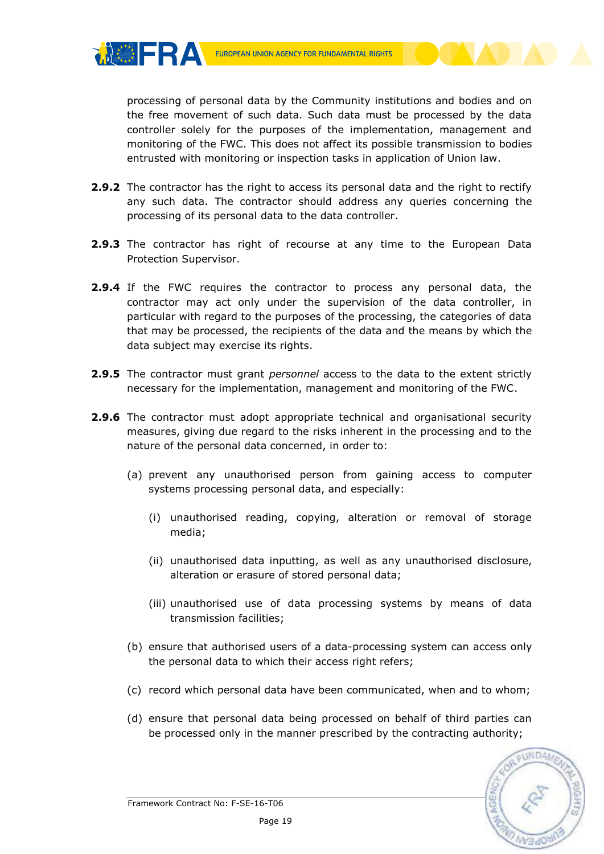**MOFRA** 

processing of personal data by the Community institutions and bodies and on the free movement of such data. Such data must be processed by the data controller solely for the purposes of the implementation, management and monitoring of the FWC. This does not affect its possible transmission to bodies entrusted with monitoring or inspection tasks in application of Union law.

- **2.9.2** The contractor has the right to access its personal data and the right to rectify any such data. The contractor should address any queries concerning the processing of its personal data to the data controller.
- **2.9.3** The contractor has right of recourse at any time to the European Data Protection Supervisor.
- **2.9.4** If the FWC requires the contractor to process any personal data, the contractor may act only under the supervision of the data controller, in particular with regard to the purposes of the processing, the categories of data that may be processed, the recipients of the data and the means by which the data subject may exercise its rights.
- **2.9.5** The contractor must grant *personnel* access to the data to the extent strictly necessary for the implementation, management and monitoring of the FWC.
- **2.9.6** The contractor must adopt appropriate technical and organisational security measures, giving due regard to the risks inherent in the processing and to the nature of the personal data concerned, in order to:
	- (a) prevent any unauthorised person from gaining access to computer systems processing personal data, and especially:
		- (i) unauthorised reading, copying, alteration or removal of storage media;
		- (ii) unauthorised data inputting, as well as any unauthorised disclosure, alteration or erasure of stored personal data;
		- (iii) unauthorised use of data processing systems by means of data transmission facilities;
	- (b) ensure that authorised users of a data-processing system can access only the personal data to which their access right refers;
	- (c) record which personal data have been communicated, when and to whom;
	- (d) ensure that personal data being processed on behalf of third parties can be processed only in the manner prescribed by the contracting authority;

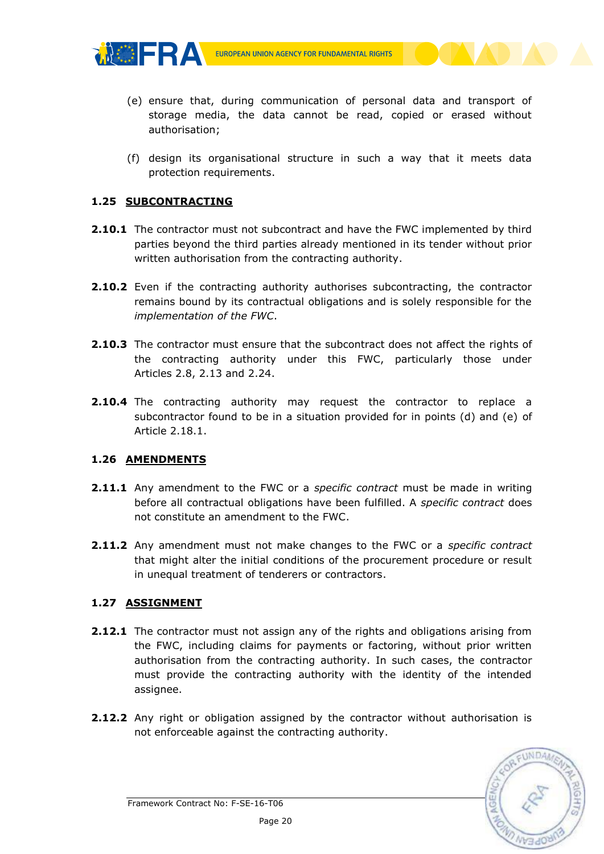

- (e) ensure that, during communication of personal data and transport of storage media, the data cannot be read, copied or erased without authorisation;
- (f) design its organisational structure in such a way that it meets data protection requirements.

## <span id="page-19-0"></span>**1.25 SUBCONTRACTING**

THE FRA

- **2.10.1** The contractor must not subcontract and have the FWC implemented by third parties beyond the third parties already mentioned in its tender without prior written authorisation from the contracting authority.
- **2.10.2** Even if the contracting authority authorises subcontracting, the contractor remains bound by its contractual obligations and is solely responsible for the *implementation of the FWC*.
- **2.10.3** The contractor must ensure that the subcontract does not affect the rights of the contracting authority under this FWC, particularly those under Articles 2.8, 2.13 and 2.24.
- **2.10.4** The contracting authority may request the contractor to replace a subcontractor found to be in a situation provided for in points (d) and (e) of Article 2.18.1.

# <span id="page-19-1"></span>**1.26 AMENDMENTS**

- **2.11.1** Any amendment to the FWC or a *specific contract* must be made in writing before all contractual obligations have been fulfilled. A *specific contract* does not constitute an amendment to the FWC.
- **2.11.2** Any amendment must not make changes to the FWC or a *specific contract* that might alter the initial conditions of the procurement procedure or result in unequal treatment of tenderers or contractors.

# <span id="page-19-2"></span>**1.27 ASSIGNMENT**

- **2.12.1** The contractor must not assign any of the rights and obligations arising from the FWC, including claims for payments or factoring, without prior written authorisation from the contracting authority. In such cases, the contractor must provide the contracting authority with the identity of the intended assignee.
- **2.12.2** Any right or obligation assigned by the contractor without authorisation is not enforceable against the contracting authority.

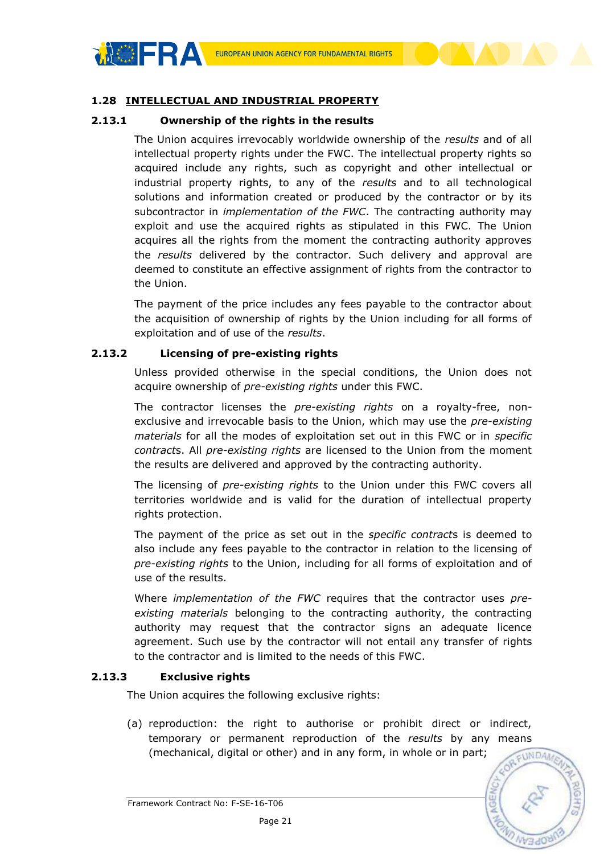

## <span id="page-20-0"></span>**1.28 INTELLECTUAL AND INDUSTRIAL PROPERTY**

#### **2.13.1 Ownership of the rights in the results**

The Union acquires irrevocably worldwide ownership of the *results* and of all intellectual property rights under the FWC. The intellectual property rights so acquired include any rights, such as copyright and other intellectual or industrial property rights, to any of the *results* and to all technological solutions and information created or produced by the contractor or by its subcontractor in *implementation of the FWC*. The contracting authority may exploit and use the acquired rights as stipulated in this FWC. The Union acquires all the rights from the moment the contracting authority approves the *results* delivered by the contractor. Such delivery and approval are deemed to constitute an effective assignment of rights from the contractor to the Union.

The payment of the price includes any fees payable to the contractor about the acquisition of ownership of rights by the Union including for all forms of exploitation and of use of the *results*.

#### **2.13.2 Licensing of pre-existing rights**

Unless provided otherwise in the special conditions, the Union does not acquire ownership of *pre-existing rights* under this FWC.

The contractor licenses the *pre-existing rights* on a royalty-free, nonexclusive and irrevocable basis to the Union, which may use the *pre-existing materials* for all the modes of exploitation set out in this FWC or in *specific contract*s. All *pre-existing rights* are licensed to the Union from the moment the results are delivered and approved by the contracting authority.

The licensing of *pre-existing rights* to the Union under this FWC covers all territories worldwide and is valid for the duration of intellectual property rights protection.

The payment of the price as set out in the *specific contract*s is deemed to also include any fees payable to the contractor in relation to the licensing of *pre-existing rights* to the Union, including for all forms of exploitation and of use of the results.

Where *implementation of the FWC* requires that the contractor uses *preexisting materials* belonging to the contracting authority, the contracting authority may request that the contractor signs an adequate licence agreement. Such use by the contractor will not entail any transfer of rights to the contractor and is limited to the needs of this FWC.

#### **2.13.3 Exclusive rights**

The Union acquires the following exclusive rights:

(a) reproduction: the right to authorise or prohibit direct or indirect, temporary or permanent reproduction of the *results* by any means (mechanical, digital or other) and in any form, in whole or in part;

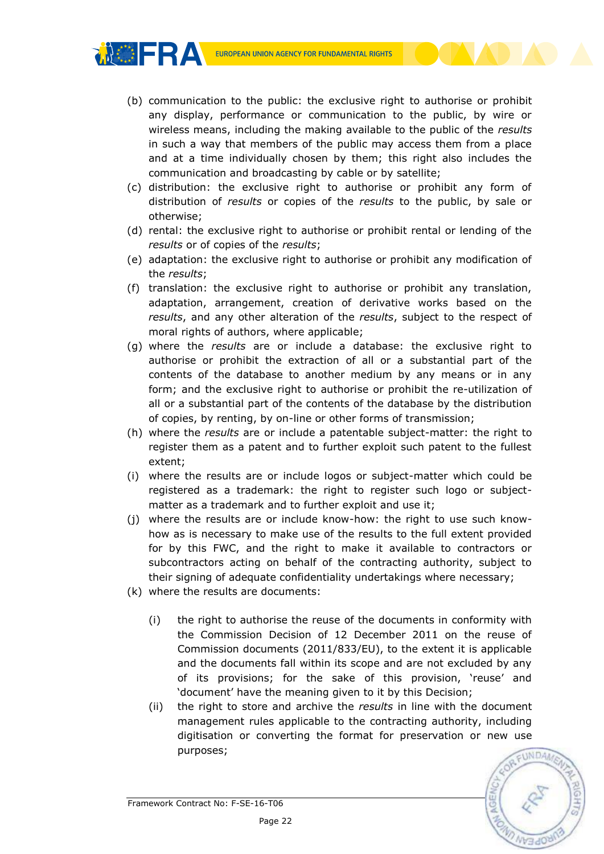ぷ※日BA

- (b) communication to the public: the exclusive right to authorise or prohibit any display, performance or communication to the public, by wire or wireless means, including the making available to the public of the *results* in such a way that members of the public may access them from a place and at a time individually chosen by them; this right also includes the communication and broadcasting by cable or by satellite;
- (c) distribution: the exclusive right to authorise or prohibit any form of distribution of *results* or copies of the *results* to the public, by sale or otherwise;
- (d) rental: the exclusive right to authorise or prohibit rental or lending of the *results* or of copies of the *results*;
- (e) adaptation: the exclusive right to authorise or prohibit any modification of the *results*;
- (f) translation: the exclusive right to authorise or prohibit any translation, adaptation, arrangement, creation of derivative works based on the *results*, and any other alteration of the *results*, subject to the respect of moral rights of authors, where applicable;
- (g) where the *results* are or include a database: the exclusive right to authorise or prohibit the extraction of all or a substantial part of the contents of the database to another medium by any means or in any form; and the exclusive right to authorise or prohibit the re-utilization of all or a substantial part of the contents of the database by the distribution of copies, by renting, by on-line or other forms of transmission;
- (h) where the *results* are or include a patentable subject-matter: the right to register them as a patent and to further exploit such patent to the fullest extent;
- (i) where the results are or include logos or subject-matter which could be registered as a trademark: the right to register such logo or subjectmatter as a trademark and to further exploit and use it;
- (j) where the results are or include know-how: the right to use such knowhow as is necessary to make use of the results to the full extent provided for by this FWC, and the right to make it available to contractors or subcontractors acting on behalf of the contracting authority, subject to their signing of adequate confidentiality undertakings where necessary;
- (k) where the results are documents:
	- (i) the right to authorise the reuse of the documents in conformity with the Commission Decision of 12 December 2011 on the reuse of Commission documents (2011/833/EU), to the extent it is applicable and the documents fall within its scope and are not excluded by any of its provisions; for the sake of this provision, 'reuse' and 'document' have the meaning given to it by this Decision;
	- (ii) the right to store and archive the *results* in line with the document management rules applicable to the contracting authority, including digitisation or converting the format for preservation or new use purposes;

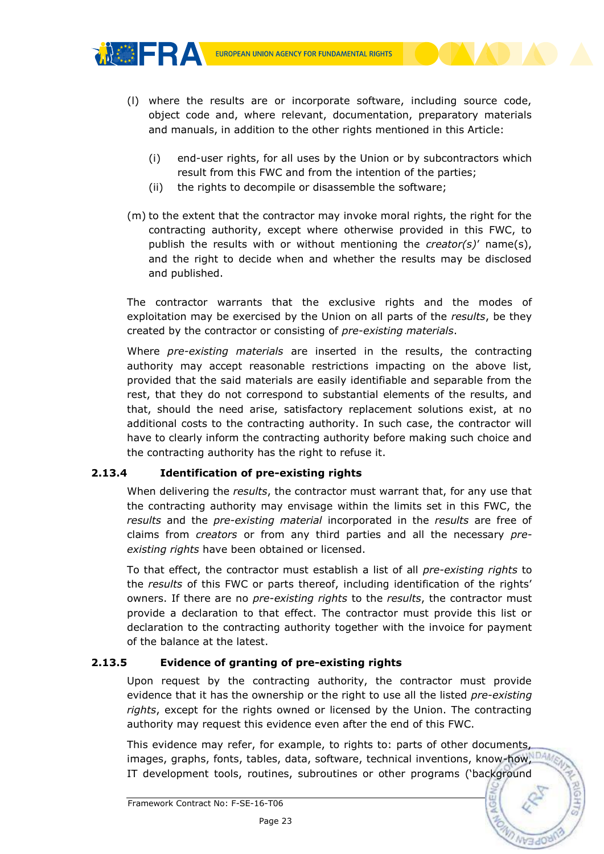

**MOERA** 

- (l) where the results are or incorporate software, including source code, object code and, where relevant, documentation, preparatory materials and manuals, in addition to the other rights mentioned in this Article:
	- (i) end-user rights, for all uses by the Union or by subcontractors which result from this FWC and from the intention of the parties;
	- (ii) the rights to decompile or disassemble the software;
- (m) to the extent that the contractor may invoke moral rights, the right for the contracting authority, except where otherwise provided in this FWC, to publish the results with or without mentioning the *creator(s)*' name(s), and the right to decide when and whether the results may be disclosed and published.

The contractor warrants that the exclusive rights and the modes of exploitation may be exercised by the Union on all parts of the *results*, be they created by the contractor or consisting of *pre-existing materials*.

Where *pre-existing materials* are inserted in the results, the contracting authority may accept reasonable restrictions impacting on the above list, provided that the said materials are easily identifiable and separable from the rest, that they do not correspond to substantial elements of the results, and that, should the need arise, satisfactory replacement solutions exist, at no additional costs to the contracting authority. In such case, the contractor will have to clearly inform the contracting authority before making such choice and the contracting authority has the right to refuse it.

# **2.13.4 Identification of pre-existing rights**

When delivering the *results*, the contractor must warrant that, for any use that the contracting authority may envisage within the limits set in this FWC, the *results* and the *pre-existing material* incorporated in the *results* are free of claims from *creators* or from any third parties and all the necessary *preexisting rights* have been obtained or licensed.

To that effect, the contractor must establish a list of all *pre-existing rights* to the *results* of this FWC or parts thereof, including identification of the rights' owners. If there are no *pre-existing rights* to the *results*, the contractor must provide a declaration to that effect. The contractor must provide this list or declaration to the contracting authority together with the invoice for payment of the balance at the latest.

# **2.13.5 Evidence of granting of pre-existing rights**

Upon request by the contracting authority, the contractor must provide evidence that it has the ownership or the right to use all the listed *pre-existing rights*, except for the rights owned or licensed by the Union. The contracting authority may request this evidence even after the end of this FWC.

This evidence may refer, for example, to rights to: parts of other documents, images, graphs, fonts, tables, data, software, technical inventions, know-how, IT development tools, routines, subroutines or other programs ('background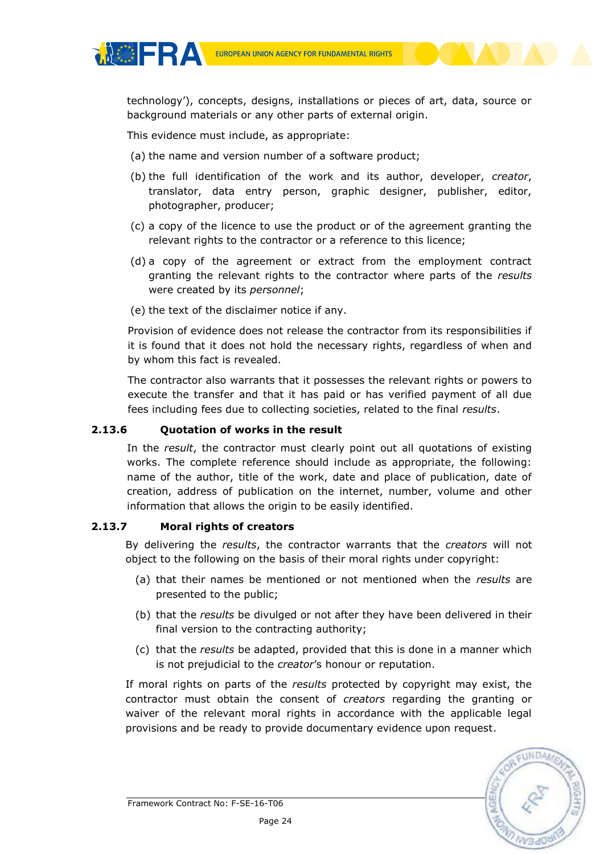technology'), concepts, designs, installations or pieces of art, data, source or background materials or any other parts of external origin.

This evidence must include, as appropriate:

**MOERA** 

- (a) the name and version number of a software product;
- (b) the full identification of the work and its author, developer, *creator*, translator, data entry person, graphic designer, publisher, editor, photographer, producer;
- (c) a copy of the licence to use the product or of the agreement granting the relevant rights to the contractor or a reference to this licence;
- (d) a copy of the agreement or extract from the employment contract granting the relevant rights to the contractor where parts of the *results* were created by its *personnel*;
- (e) the text of the disclaimer notice if any.

Provision of evidence does not release the contractor from its responsibilities if it is found that it does not hold the necessary rights, regardless of when and by whom this fact is revealed.

The contractor also warrants that it possesses the relevant rights or powers to execute the transfer and that it has paid or has verified payment of all due fees including fees due to collecting societies, related to the final *results*.

#### **2.13.6 Quotation of works in the result**

In the *result*, the contractor must clearly point out all quotations of existing works. The complete reference should include as appropriate, the following: name of the author, title of the work, date and place of publication, date of creation, address of publication on the internet, number, volume and other information that allows the origin to be easily identified.

#### **2.13.7 Moral rights of creators**

By delivering the *results*, the contractor warrants that the *creators* will not object to the following on the basis of their moral rights under copyright:

- (a) that their names be mentioned or not mentioned when the *results* are presented to the public;
- (b) that the *results* be divulged or not after they have been delivered in their final version to the contracting authority;
- (c) that the *results* be adapted, provided that this is done in a manner which is not prejudicial to the *creator*'s honour or reputation.

If moral rights on parts of the *results* protected by copyright may exist, the contractor must obtain the consent of *creators* regarding the granting or waiver of the relevant moral rights in accordance with the applicable legal provisions and be ready to provide documentary evidence upon request.

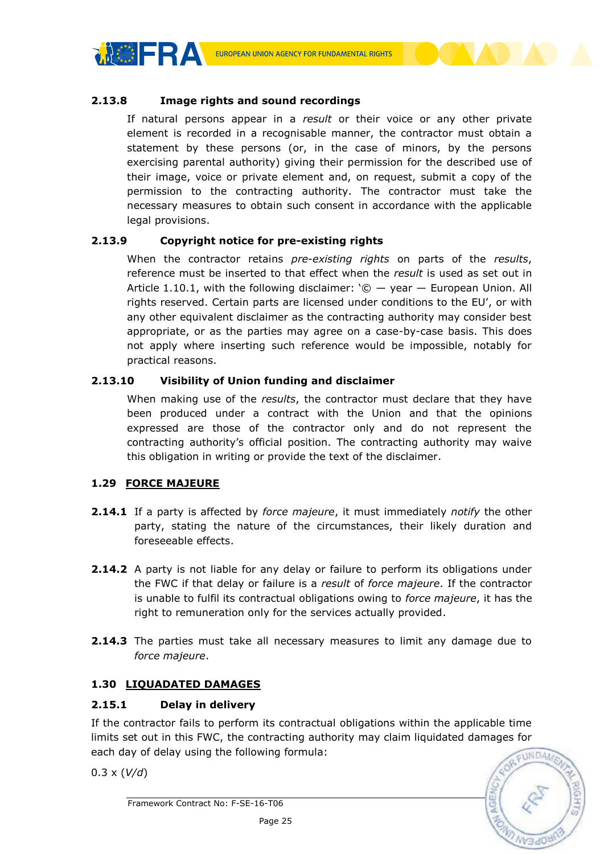

#### **2.13.8 Image rights and sound recordings**

If natural persons appear in a *result* or their voice or any other private element is recorded in a recognisable manner, the contractor must obtain a statement by these persons (or, in the case of minors, by the persons exercising parental authority) giving their permission for the described use of their image, voice or private element and, on request, submit a copy of the permission to the contracting authority. The contractor must take the necessary measures to obtain such consent in accordance with the applicable legal provisions.

#### **2.13.9 Copyright notice for pre-existing rights**

When the contractor retains *pre-existing rights* on parts of the *results*, reference must be inserted to that effect when the *result* is used as set out in Article 1.10.1, with the following disclaimer:  $\degree$   $\degree$   $-$  year  $-$  European Union. All rights reserved. Certain parts are licensed under conditions to the EU', or with any other equivalent disclaimer as the contracting authority may consider best appropriate, or as the parties may agree on a case-by-case basis. This does not apply where inserting such reference would be impossible, notably for practical reasons.

## **2.13.10 Visibility of Union funding and disclaimer**

When making use of the *results*, the contractor must declare that they have been produced under a contract with the Union and that the opinions expressed are those of the contractor only and do not represent the contracting authority's official position. The contracting authority may waive this obligation in writing or provide the text of the disclaimer.

#### <span id="page-24-0"></span>**1.29 FORCE MAJEURE**

- **2.14.1** If a party is affected by *force majeure*, it must immediately *notify* the other party, stating the nature of the circumstances, their likely duration and foreseeable effects.
- **2.14.2** A party is not liable for any delay or failure to perform its obligations under the FWC if that delay or failure is a *result* of *force majeure*. If the contractor is unable to fulfil its contractual obligations owing to *force majeure*, it has the right to remuneration only for the services actually provided.
- **2.14.3** The parties must take all necessary measures to limit any damage due to *force majeure*.

# <span id="page-24-1"></span>**1.30 LIQUADATED DAMAGES**

## **2.15.1 Delay in delivery**

If the contractor fails to perform its contractual obligations within the applicable time limits set out in this FWC, the contracting authority may claim liquidated damages for each day of delay using the following formula:

0.3 x (*V/d*)

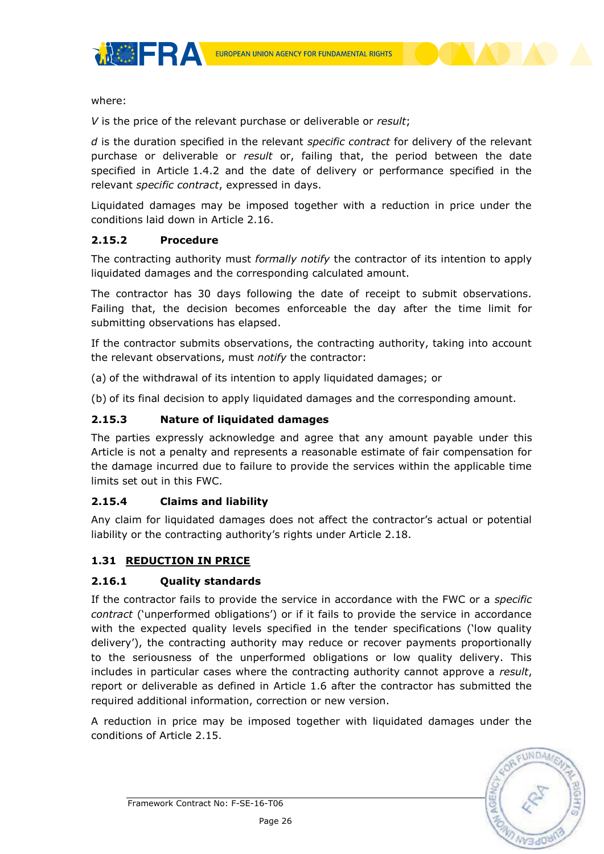

where:

*V* is the price of the relevant purchase or deliverable or *result*;

*d* is the duration specified in the relevant *specific contract* for delivery of the relevant purchase or deliverable or *result* or, failing that, the period between the date specified in Article 1.4.2 and the date of delivery or performance specified in the relevant *specific contract*, expressed in days.

Liquidated damages may be imposed together with a reduction in price under the conditions laid down in Article 2.16.

#### **2.15.2 Procedure**

The contracting authority must *formally notify* the contractor of its intention to apply liquidated damages and the corresponding calculated amount.

The contractor has 30 days following the date of receipt to submit observations. Failing that, the decision becomes enforceable the day after the time limit for submitting observations has elapsed.

If the contractor submits observations, the contracting authority, taking into account the relevant observations, must *notify* the contractor:

(a) of the withdrawal of its intention to apply liquidated damages; or

(b) of its final decision to apply liquidated damages and the corresponding amount.

#### **2.15.3 Nature of liquidated damages**

The parties expressly acknowledge and agree that any amount payable under this Article is not a penalty and represents a reasonable estimate of fair compensation for the damage incurred due to failure to provide the services within the applicable time limits set out in this FWC.

#### **2.15.4 Claims and liability**

Any claim for liquidated damages does not affect the contractor's actual or potential liability or the contracting authority's rights under Article 2.18.

#### <span id="page-25-0"></span>**1.31 REDUCTION IN PRICE**

#### **2.16.1 Quality standards**

If the contractor fails to provide the service in accordance with the FWC or a *specific contract* ('unperformed obligations') or if it fails to provide the service in accordance with the expected quality levels specified in the tender specifications ('low quality delivery'), the contracting authority may reduce or recover payments proportionally to the seriousness of the unperformed obligations or low quality delivery. This includes in particular cases where the contracting authority cannot approve a *result*, report or deliverable as defined in Article 1.6 after the contractor has submitted the required additional information, correction or new version.

A reduction in price may be imposed together with liquidated damages under the conditions of Article 2.15.

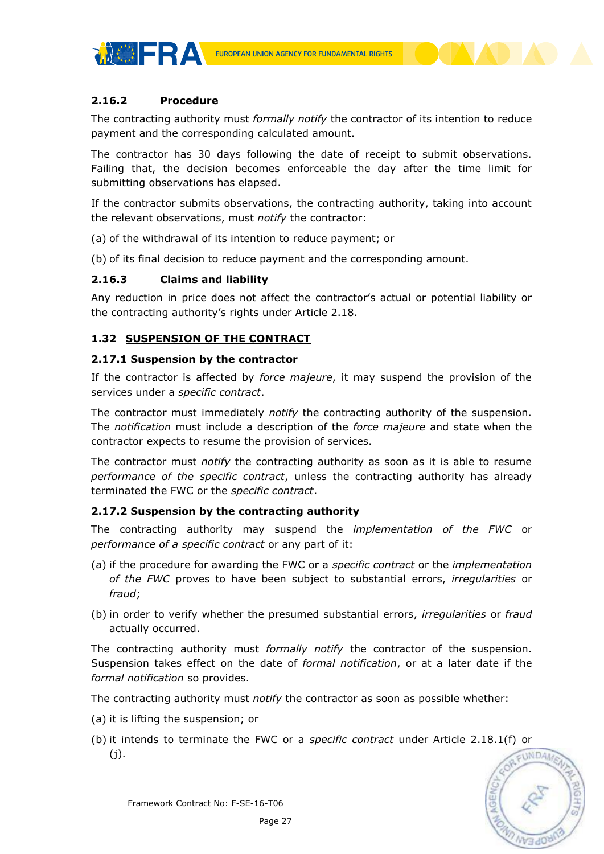

**MOERA** 

The contracting authority must *formally notify* the contractor of its intention to reduce payment and the corresponding calculated amount.

The contractor has 30 days following the date of receipt to submit observations. Failing that, the decision becomes enforceable the day after the time limit for submitting observations has elapsed.

If the contractor submits observations, the contracting authority, taking into account the relevant observations, must *notify* the contractor:

(a) of the withdrawal of its intention to reduce payment; or

(b) of its final decision to reduce payment and the corresponding amount.

#### **2.16.3 Claims and liability**

Any reduction in price does not affect the contractor's actual or potential liability or the contracting authority's rights under Article 2.18.

## <span id="page-26-0"></span>**1.32 SUSPENSION OF THE CONTRACT**

#### **2.17.1 Suspension by the contractor**

If the contractor is affected by *force majeure*, it may suspend the provision of the services under a *specific contract*.

The contractor must immediately *notify* the contracting authority of the suspension. The *notification* must include a description of the *force majeure* and state when the contractor expects to resume the provision of services.

The contractor must *notify* the contracting authority as soon as it is able to resume *performance of the specific contract*, unless the contracting authority has already terminated the FWC or the *specific contract*.

#### **2.17.2 Suspension by the contracting authority**

The contracting authority may suspend the *implementation of the FWC* or *performance of a specific contract* or any part of it:

- (a) if the procedure for awarding the FWC or a *specific contract* or the *implementation of the FWC* proves to have been subject to substantial errors, *irregularities* or *fraud*;
- (b) in order to verify whether the presumed substantial errors, *irregularities* or *fraud* actually occurred.

The contracting authority must *formally notify* the contractor of the suspension. Suspension takes effect on the date of *formal notification*, or at a later date if the *formal notification* so provides.

The contracting authority must *notify* the contractor as soon as possible whether:

- (a) it is lifting the suspension; or
- (b) it intends to terminate the FWC or a *specific contract* under Article 2.18.1(f) or  $(i).$

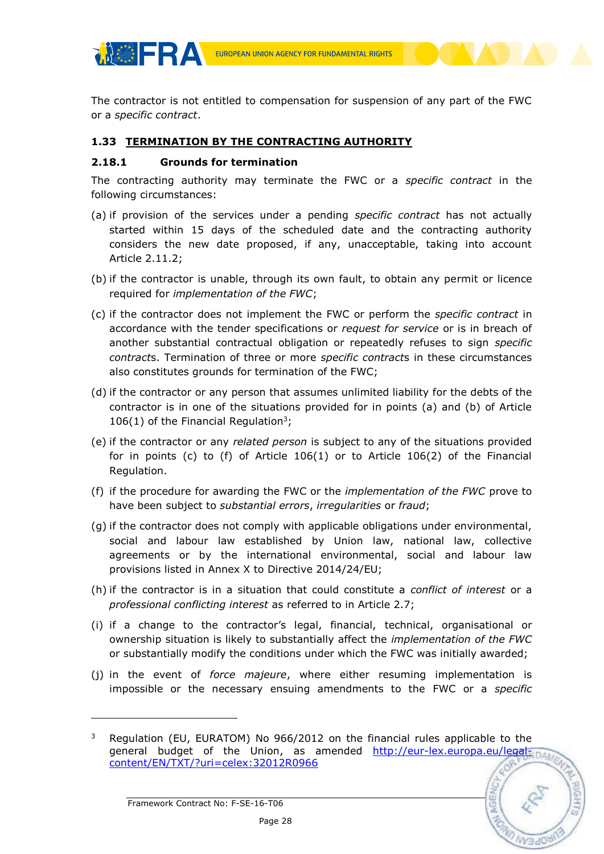The contractor is not entitled to compensation for suspension of any part of the FWC or a *specific contract*.

## <span id="page-27-0"></span>**1.33 TERMINATION BY THE CONTRACTING AUTHORITY**

#### **2.18.1 Grounds for termination**

**MOFRA** 

The contracting authority may terminate the FWC or a *specific contract* in the following circumstances:

- (a) if provision of the services under a pending *specific contract* has not actually started within 15 days of the scheduled date and the contracting authority considers the new date proposed, if any, unacceptable, taking into account Article 2.11.2;
- (b) if the contractor is unable, through its own fault, to obtain any permit or licence required for *implementation of the FWC*;
- (c) if the contractor does not implement the FWC or perform the *specific contract* in accordance with the tender specifications or *request for service* or is in breach of another substantial contractual obligation or repeatedly refuses to sign *specific contract*s. Termination of three or more *specific contract*s in these circumstances also constitutes grounds for termination of the FWC;
- (d) if the contractor or any person that assumes unlimited liability for the debts of the contractor is in one of the situations provided for in points (a) and (b) of Article 106(1) of the Financial Regulation<sup>3</sup>;
- (e) if the contractor or any *related person* is subject to any of the situations provided for in points (c) to (f) of Article 106(1) or to Article 106(2) of the Financial Regulation.
- (f) if the procedure for awarding the FWC or the *implementation of the FWC* prove to have been subject to *substantial errors*, *irregularities* or *fraud*;
- (g) if the contractor does not comply with applicable obligations under environmental, social and labour law established by Union law, national law, collective agreements or by the international environmental, social and labour law provisions listed in Annex X to Directive 2014/24/EU;
- (h) if the contractor is in a situation that could constitute a *conflict of interest* or a *professional conflicting interest* as referred to in Article 2.7;
- (i) if a change to the contractor's legal, financial, technical, organisational or ownership situation is likely to substantially affect the *implementation of the FWC* or substantially modify the conditions under which the FWC was initially awarded;
- (j) in the event of *force majeure*, where either resuming implementation is impossible or the necessary ensuing amendments to the FWC or a *specific*

-

<sup>&</sup>lt;sup>3</sup> Regulation (EU, EURATOM) No 966/2012 on the financial rules applicable to the general budget of the Union, as amended http://eur-lex.europa.eu/legal-inal [content/EN/TXT/?uri=celex:32012R0966](http://eur-lex.europa.eu/legal-content/EN/TXT/?uri=celex:32012R0966)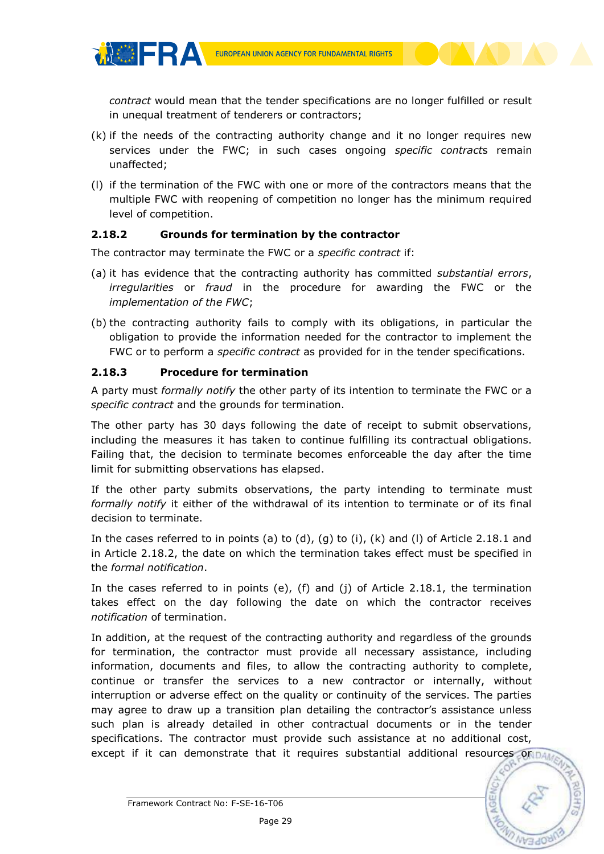*contract* would mean that the tender specifications are no longer fulfilled or result in unequal treatment of tenderers or contractors;

- (k) if the needs of the contracting authority change and it no longer requires new services under the FWC; in such cases ongoing *specific contract*s remain unaffected;
- (l) if the termination of the FWC with one or more of the contractors means that the multiple FWC with reopening of competition no longer has the minimum required level of competition.

## **2.18.2 Grounds for termination by the contractor**

The contractor may terminate the FWC or a *specific contract* if:

- (a) it has evidence that the contracting authority has committed *substantial errors*, *irregularities* or *fraud* in the procedure for awarding the FWC or the *implementation of the FWC*;
- (b) the contracting authority fails to comply with its obligations, in particular the obligation to provide the information needed for the contractor to implement the FWC or to perform a *specific contract* as provided for in the tender specifications.

#### **2.18.3 Procedure for termination**

**MOFRA** 

A party must *formally notify* the other party of its intention to terminate the FWC or a *specific contract* and the grounds for termination.

The other party has 30 days following the date of receipt to submit observations, including the measures it has taken to continue fulfilling its contractual obligations. Failing that, the decision to terminate becomes enforceable the day after the time limit for submitting observations has elapsed.

If the other party submits observations, the party intending to terminate must *formally notify* it either of the withdrawal of its intention to terminate or of its final decision to terminate.

In the cases referred to in points (a) to (d), (q) to (i), (k) and (l) of Article 2.18.1 and in Article 2.18.2, the date on which the termination takes effect must be specified in the *formal notification*.

In the cases referred to in points (e), (f) and (j) of Article 2.18.1, the termination takes effect on the day following the date on which the contractor receives *notification* of termination.

In addition, at the request of the contracting authority and regardless of the grounds for termination, the contractor must provide all necessary assistance, including information, documents and files, to allow the contracting authority to complete, continue or transfer the services to a new contractor or internally, without interruption or adverse effect on the quality or continuity of the services. The parties may agree to draw up a transition plan detailing the contractor's assistance unless such plan is already detailed in other contractual documents or in the tender specifications. The contractor must provide such assistance at no additional cost, except if it can demonstrate that it requires substantial additional resources or pa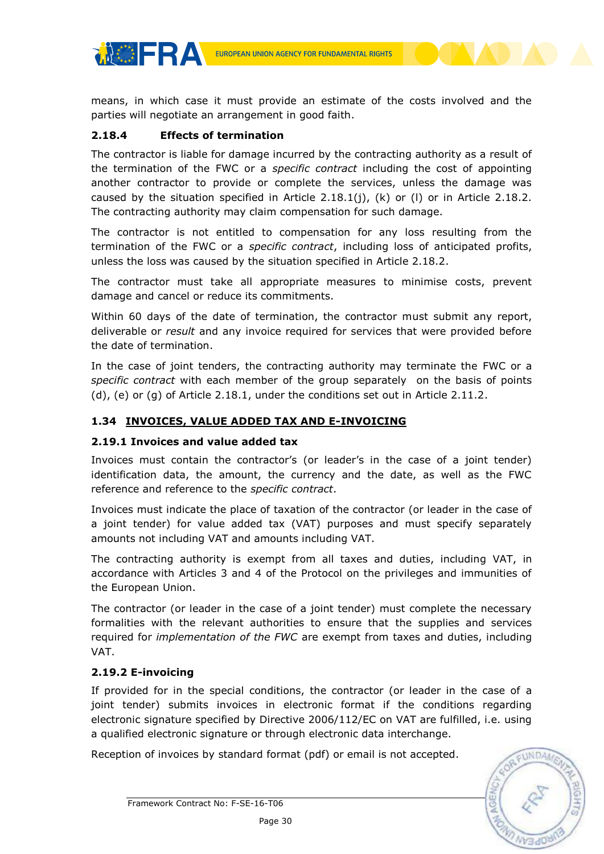means, in which case it must provide an estimate of the costs involved and the parties will negotiate an arrangement in good faith.

#### **2.18.4 Effects of termination**

**THERA** 

The contractor is liable for damage incurred by the contracting authority as a result of the termination of the FWC or a *specific contract* including the cost of appointing another contractor to provide or complete the services, unless the damage was caused by the situation specified in Article 2.18.1(j), (k) or (l) or in Article 2.18.2. The contracting authority may claim compensation for such damage.

The contractor is not entitled to compensation for any loss resulting from the termination of the FWC or a *specific contract*, including loss of anticipated profits, unless the loss was caused by the situation specified in Article 2.18.2.

The contractor must take all appropriate measures to minimise costs, prevent damage and cancel or reduce its commitments.

Within 60 days of the date of termination, the contractor must submit any report, deliverable or *result* and any invoice required for services that were provided before the date of termination.

In the case of joint tenders, the contracting authority may terminate the FWC or a *specific contract* with each member of the group separately on the basis of points (d), (e) or (g) of Article 2.18.1, under the conditions set out in Article 2.11.2.

## <span id="page-29-0"></span>**1.34 INVOICES, VALUE ADDED TAX AND E-INVOICING**

#### **2.19.1 Invoices and value added tax**

Invoices must contain the contractor's (or leader's in the case of a joint tender) identification data, the amount, the currency and the date, as well as the FWC reference and reference to the *specific contract*.

Invoices must indicate the place of taxation of the contractor (or leader in the case of a joint tender) for value added tax (VAT) purposes and must specify separately amounts not including VAT and amounts including VAT.

The contracting authority is exempt from all taxes and duties, including VAT, in accordance with Articles 3 and 4 of the Protocol on the privileges and immunities of the European Union.

The contractor (or leader in the case of a joint tender) must complete the necessary formalities with the relevant authorities to ensure that the supplies and services required for *implementation of the FWC* are exempt from taxes and duties, including VAT.

# **2.19.2 E-invoicing**

If provided for in the special conditions, the contractor (or leader in the case of a joint tender) submits invoices in electronic format if the conditions regarding electronic signature specified by Directive 2006/112/EC on VAT are fulfilled, i.e. using a qualified electronic signature or through electronic data interchange.

Reception of invoices by standard format (pdf) or email is not accepted.

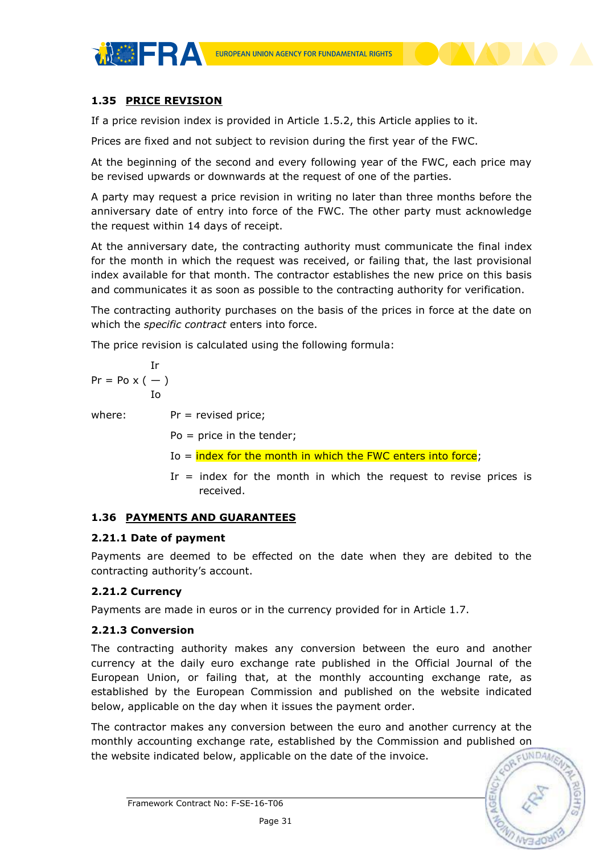# <span id="page-30-0"></span>**1.35 PRICE REVISION**

**MOFRA** 

If a price revision index is provided in Article 1.5.2, this Article applies to it.

Prices are fixed and not subject to revision during the first year of the FWC.

At the beginning of the second and every following year of the FWC, each price may be revised upwards or downwards at the request of one of the parties.

A party may request a price revision in writing no later than three months before the anniversary date of entry into force of the FWC. The other party must acknowledge the request within 14 days of receipt.

At the anniversary date, the contracting authority must communicate the final index for the month in which the request was received, or failing that, the last provisional index available for that month. The contractor establishes the new price on this basis and communicates it as soon as possible to the contracting authority for verification.

The contracting authority purchases on the basis of the prices in force at the date on which the *specific contract* enters into force.

The price revision is calculated using the following formula:

$$
\begin{aligned}\n &\text{Ir} \\
&\text{Pr} = \text{Po} \times (-) \\
&\text{Io} \\
&\text{where:} \\
&\text{Pr} = \text{revised price;} \\
&\text{Po} = \text{price in the tendency;} \\
\end{aligned}
$$

Io  $=$  index for the month in which the FWC enters into force;

Ir  $=$  index for the month in which the request to revise prices is received.

#### <span id="page-30-1"></span>**1.36 PAYMENTS AND GUARANTEES**

#### **2.21.1 Date of payment**

Payments are deemed to be effected on the date when they are debited to the contracting authority's account.

#### **2.21.2 Currency**

Payments are made in euros or in the currency provided for in Article 1.7.

#### **2.21.3 Conversion**

The contracting authority makes any conversion between the euro and another currency at the daily euro exchange rate published in the Official Journal of the European Union, or failing that, at the monthly accounting exchange rate, as established by the European Commission and published on the website indicated below, applicable on the day when it issues the payment order.

The contractor makes any conversion between the euro and another currency at the monthly accounting exchange rate, established by the Commission and published on the website indicated below, applicable on the date of the invoice.

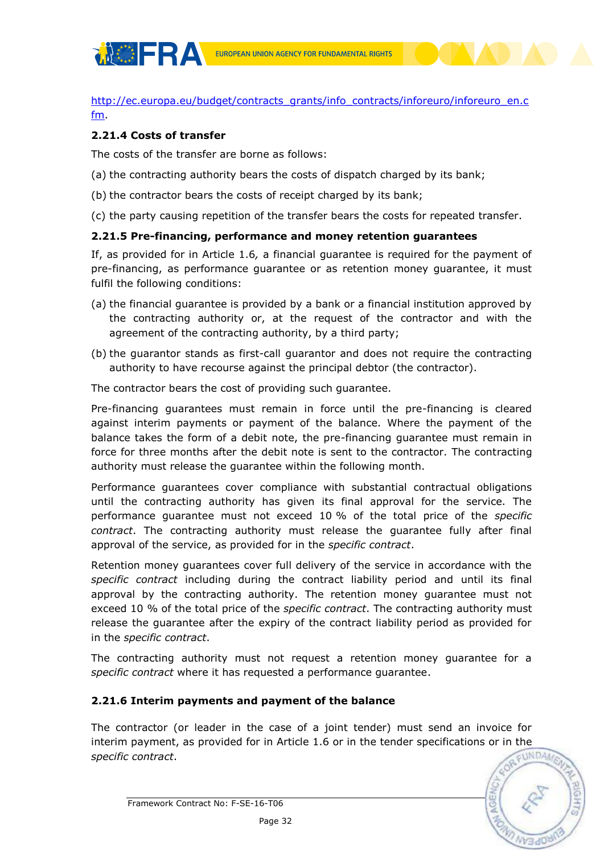

[http://ec.europa.eu/budget/contracts\\_grants/info\\_contracts/inforeuro/inforeuro\\_en.c](http://ec.europa.eu/budget/contracts_grants/info_contracts/inforeuro/inforeuro_en.cfm) [fm.](http://ec.europa.eu/budget/contracts_grants/info_contracts/inforeuro/inforeuro_en.cfm)

#### **2.21.4 Costs of transfer**

The costs of the transfer are borne as follows:

- (a) the contracting authority bears the costs of dispatch charged by its bank;
- (b) the contractor bears the costs of receipt charged by its bank;
- (c) the party causing repetition of the transfer bears the costs for repeated transfer.

#### **2.21.5 Pre-financing, performance and money retention guarantees**

If, as provided for in Article 1.6*,* a financial guarantee is required for the payment of pre-financing, as performance guarantee or as retention money guarantee, it must fulfil the following conditions:

- (a) the financial guarantee is provided by a bank or a financial institution approved by the contracting authority or, at the request of the contractor and with the agreement of the contracting authority, by a third party;
- (b) the guarantor stands as first-call guarantor and does not require the contracting authority to have recourse against the principal debtor (the contractor).

The contractor bears the cost of providing such guarantee.

Pre-financing guarantees must remain in force until the pre-financing is cleared against interim payments or payment of the balance. Where the payment of the balance takes the form of a debit note, the pre-financing guarantee must remain in force for three months after the debit note is sent to the contractor. The contracting authority must release the guarantee within the following month.

Performance guarantees cover compliance with substantial contractual obligations until the contracting authority has given its final approval for the service. The performance guarantee must not exceed 10 % of the total price of the *specific contract*. The contracting authority must release the guarantee fully after final approval of the service, as provided for in the *specific contract*.

Retention money guarantees cover full delivery of the service in accordance with the *specific contract* including during the contract liability period and until its final approval by the contracting authority. The retention money guarantee must not exceed 10 % of the total price of the *specific contract*. The contracting authority must release the guarantee after the expiry of the contract liability period as provided for in the *specific contract*.

The contracting authority must not request a retention money guarantee for a *specific contract* where it has requested a performance guarantee.

#### **2.21.6 Interim payments and payment of the balance**

The contractor (or leader in the case of a joint tender) must send an invoice for interim payment, as provided for in Article 1.6 or in the tender specifications or in the *specific contract*.

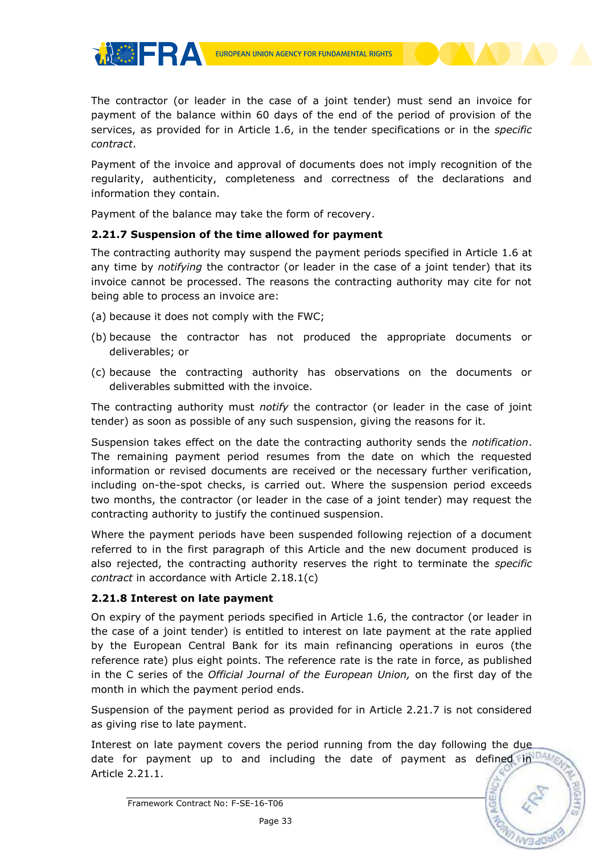EUROPEAN UNION AGENCY FOR FUNDAMENTAL RIGHTS

The contractor (or leader in the case of a joint tender) must send an invoice for payment of the balance within 60 days of the end of the period of provision of the services, as provided for in Article 1.6, in the tender specifications or in the *specific contract*.

Payment of the invoice and approval of documents does not imply recognition of the regularity, authenticity, completeness and correctness of the declarations and information they contain.

Payment of the balance may take the form of recovery.

# **2.21.7 Suspension of the time allowed for payment**

The contracting authority may suspend the payment periods specified in Article 1.6 at any time by *notifying* the contractor (or leader in the case of a joint tender) that its invoice cannot be processed. The reasons the contracting authority may cite for not being able to process an invoice are:

(a) because it does not comply with the FWC;

**THERA** 

- (b) because the contractor has not produced the appropriate documents or deliverables; or
- (c) because the contracting authority has observations on the documents or deliverables submitted with the invoice.

The contracting authority must *notify* the contractor (or leader in the case of joint tender) as soon as possible of any such suspension, giving the reasons for it.

Suspension takes effect on the date the contracting authority sends the *notification*. The remaining payment period resumes from the date on which the requested information or revised documents are received or the necessary further verification, including on-the-spot checks, is carried out. Where the suspension period exceeds two months, the contractor (or leader in the case of a joint tender) may request the contracting authority to justify the continued suspension.

Where the payment periods have been suspended following rejection of a document referred to in the first paragraph of this Article and the new document produced is also rejected, the contracting authority reserves the right to terminate the *specific contract* in accordance with Article 2.18.1(c)

# **2.21.8 Interest on late payment**

On expiry of the payment periods specified in Article 1.6, the contractor (or leader in the case of a joint tender) is entitled to interest on late payment at the rate applied by the European Central Bank for its main refinancing operations in euros (the reference rate) plus eight points. The reference rate is the rate in force, as published in the C series of the *Official Journal of the European Union,* on the first day of the month in which the payment period ends.

Suspension of the payment period as provided for in Article 2.21.7 is not considered as giving rise to late payment.

Interest on late payment covers the period running from the day following the due date for payment up to and including the date of payment as defined in DA, Article 2.21.1.

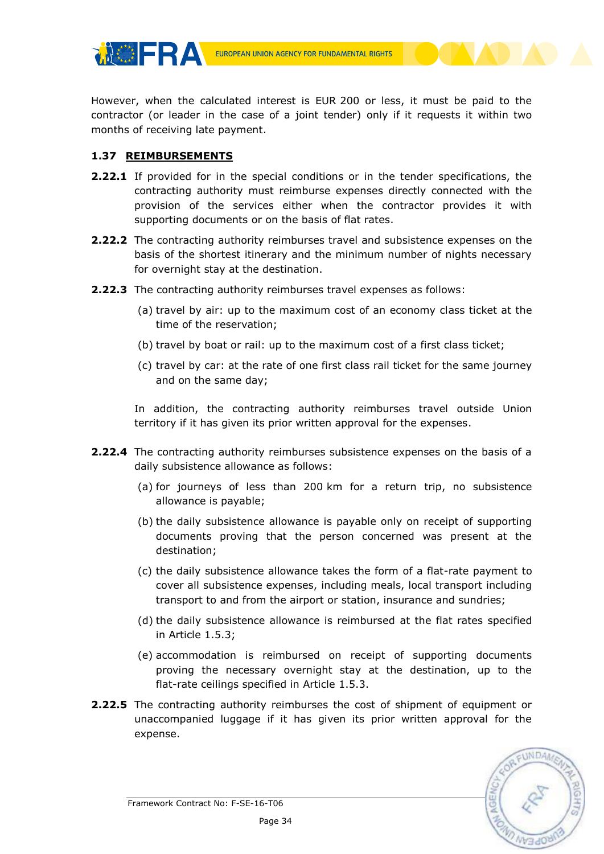**EUROPEAN UNION AGENCY FOR FUNDAMENTAL RIGHTS** 

However, when the calculated interest is EUR 200 or less, it must be paid to the contractor (or leader in the case of a joint tender) only if it requests it within two months of receiving late payment.

## <span id="page-33-0"></span>**1.37 REIMBURSEMENTS**

**MOFRA** 

- **2.22.1** If provided for in the special conditions or in the tender specifications, the contracting authority must reimburse expenses directly connected with the provision of the services either when the contractor provides it with supporting documents or on the basis of flat rates.
- **2.22.2** The contracting authority reimburses travel and subsistence expenses on the basis of the shortest itinerary and the minimum number of nights necessary for overnight stay at the destination.
- **2.22.3** The contracting authority reimburses travel expenses as follows:
	- (a) travel by air: up to the maximum cost of an economy class ticket at the time of the reservation;
	- (b) travel by boat or rail: up to the maximum cost of a first class ticket;
	- (c) travel by car: at the rate of one first class rail ticket for the same journey and on the same day;

In addition, the contracting authority reimburses travel outside Union territory if it has given its prior written approval for the expenses.

- **2.22.4** The contracting authority reimburses subsistence expenses on the basis of a daily subsistence allowance as follows:
	- (a) for journeys of less than 200 km for a return trip, no subsistence allowance is payable;
	- (b) the daily subsistence allowance is payable only on receipt of supporting documents proving that the person concerned was present at the destination;
	- (c) the daily subsistence allowance takes the form of a flat-rate payment to cover all subsistence expenses, including meals, local transport including transport to and from the airport or station, insurance and sundries;
	- (d) the daily subsistence allowance is reimbursed at the flat rates specified in Article 1.5.3;
	- (e) accommodation is reimbursed on receipt of supporting documents proving the necessary overnight stay at the destination, up to the flat-rate ceilings specified in Article 1.5.3.
- **2.22.5** The contracting authority reimburses the cost of shipment of equipment or unaccompanied luggage if it has given its prior written approval for the expense.

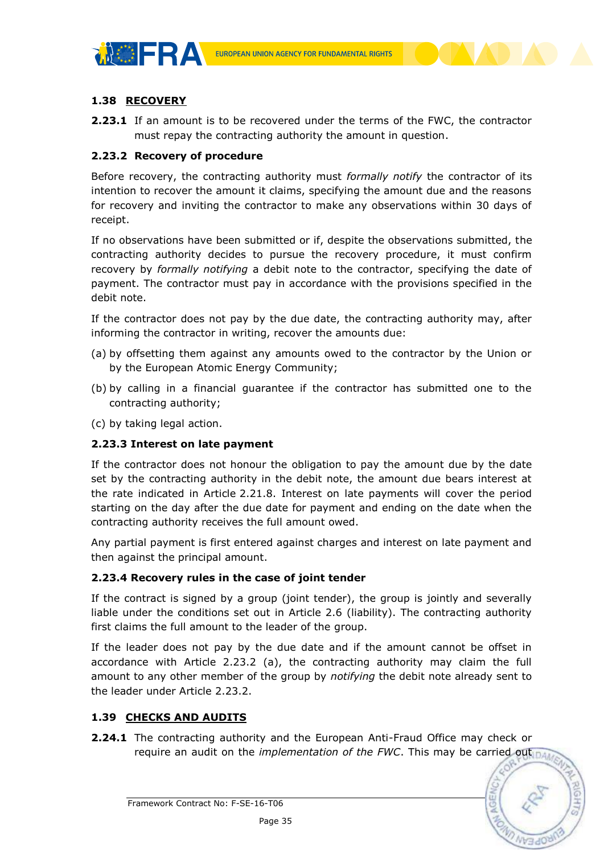



# <span id="page-34-0"></span>**1.38 RECOVERY**

**2.23.1** If an amount is to be recovered under the terms of the FWC, the contractor must repay the contracting authority the amount in question.

## **2.23.2 Recovery of procedure**

Before recovery, the contracting authority must *formally notify* the contractor of its intention to recover the amount it claims, specifying the amount due and the reasons for recovery and inviting the contractor to make any observations within 30 days of receipt.

If no observations have been submitted or if, despite the observations submitted, the contracting authority decides to pursue the recovery procedure, it must confirm recovery by *formally notifying* a debit note to the contractor, specifying the date of payment. The contractor must pay in accordance with the provisions specified in the debit note.

If the contractor does not pay by the due date, the contracting authority may, after informing the contractor in writing, recover the amounts due:

- (a) by offsetting them against any amounts owed to the contractor by the Union or by the European Atomic Energy Community;
- (b) by calling in a financial guarantee if the contractor has submitted one to the contracting authority;
- (c) by taking legal action.

# **2.23.3 Interest on late payment**

If the contractor does not honour the obligation to pay the amount due by the date set by the contracting authority in the debit note, the amount due bears interest at the rate indicated in Article 2.21.8. Interest on late payments will cover the period starting on the day after the due date for payment and ending on the date when the contracting authority receives the full amount owed.

Any partial payment is first entered against charges and interest on late payment and then against the principal amount.

# **2.23.4 Recovery rules in the case of joint tender**

If the contract is signed by a group (joint tender), the group is jointly and severally liable under the conditions set out in Article 2.6 (liability). The contracting authority first claims the full amount to the leader of the group.

If the leader does not pay by the due date and if the amount cannot be offset in accordance with Article 2.23.2 (a), the contracting authority may claim the full amount to any other member of the group by *notifying* the debit note already sent to the leader under Article 2.23.2.

# <span id="page-34-1"></span>**1.39 CHECKS AND AUDITS**

**2.24.1** The contracting authority and the European Anti-Fraud Office may check or require an audit on the *implementation of the FWC*. This may be carried out



Framework Contract No: F-SE-16-T06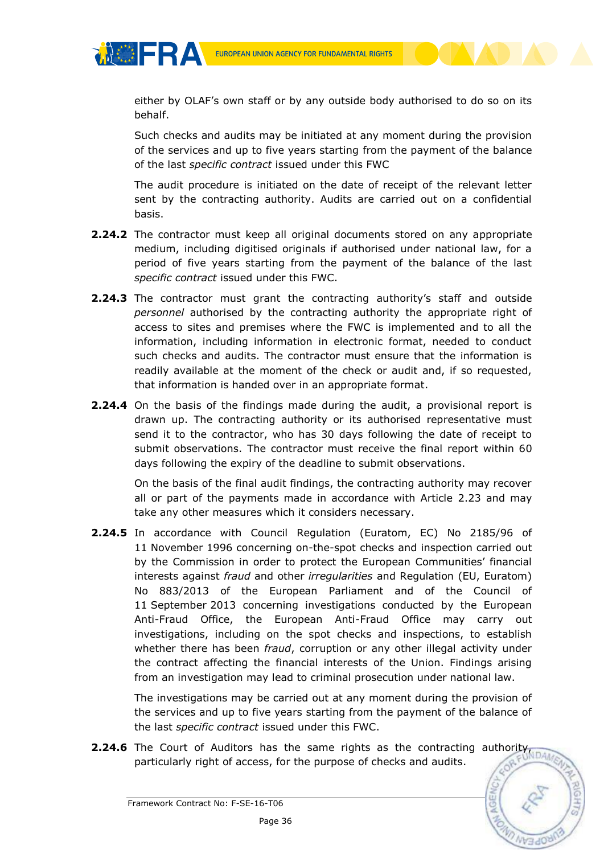**MOFRA** 

either by OLAF's own staff or by any outside body authorised to do so on its behalf.

Such checks and audits may be initiated at any moment during the provision of the services and up to five years starting from the payment of the balance of the last *specific contract* issued under this FWC

The audit procedure is initiated on the date of receipt of the relevant letter sent by the contracting authority. Audits are carried out on a confidential basis.

- **2.24.2** The contractor must keep all original documents stored on any appropriate medium, including digitised originals if authorised under national law, for a period of five years starting from the payment of the balance of the last *specific contract* issued under this FWC.
- **2.24.3** The contractor must grant the contracting authority's staff and outside *personnel* authorised by the contracting authority the appropriate right of access to sites and premises where the FWC is implemented and to all the information, including information in electronic format, needed to conduct such checks and audits. The contractor must ensure that the information is readily available at the moment of the check or audit and, if so requested, that information is handed over in an appropriate format.
- **2.24.4** On the basis of the findings made during the audit, a provisional report is drawn up. The contracting authority or its authorised representative must send it to the contractor, who has 30 days following the date of receipt to submit observations. The contractor must receive the final report within 60 days following the expiry of the deadline to submit observations.

On the basis of the final audit findings, the contracting authority may recover all or part of the payments made in accordance with Article 2.23 and may take any other measures which it considers necessary.

**2.24.5** In accordance with Council Regulation (Euratom, EC) No 2185/96 of 11 November 1996 concerning on-the-spot checks and inspection carried out by the Commission in order to protect the European Communities' financial interests against *fraud* and other *irregularities* and Regulation (EU, Euratom) No 883/2013 of the European Parliament and of the Council of 11 September 2013 concerning investigations conducted by the European Anti-Fraud Office, the European Anti-Fraud Office may carry out investigations, including on the spot checks and inspections, to establish whether there has been *fraud*, corruption or any other illegal activity under the contract affecting the financial interests of the Union. Findings arising from an investigation may lead to criminal prosecution under national law.

The investigations may be carried out at any moment during the provision of the services and up to five years starting from the payment of the balance of the last *specific contract* issued under this FWC.

**2.24.6** The Court of Auditors has the same rights as the contracting authority, particularly right of access, for the purpose of checks and audits.

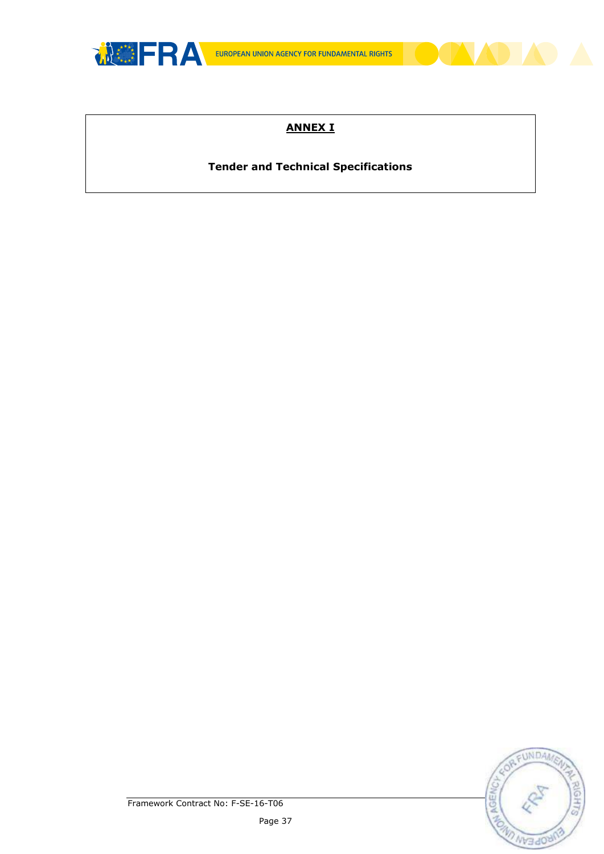

# **ANNEX I**

# **Tender and Technical Specifications**

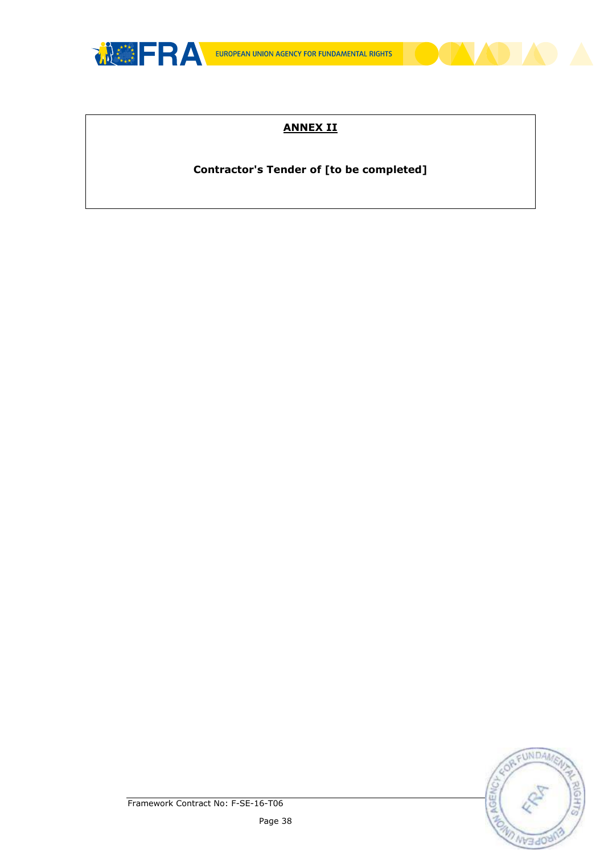

# **ANNEX II**

# **Contractor's Tender of [to be completed]**

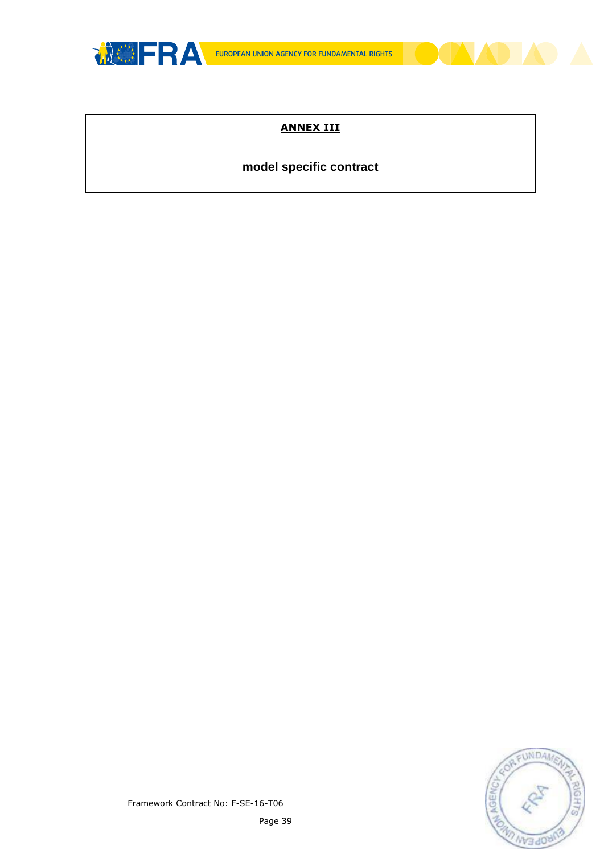

# **ANNEX III**

# **model specific contract**



Framework Contract No: F-SE-16-T06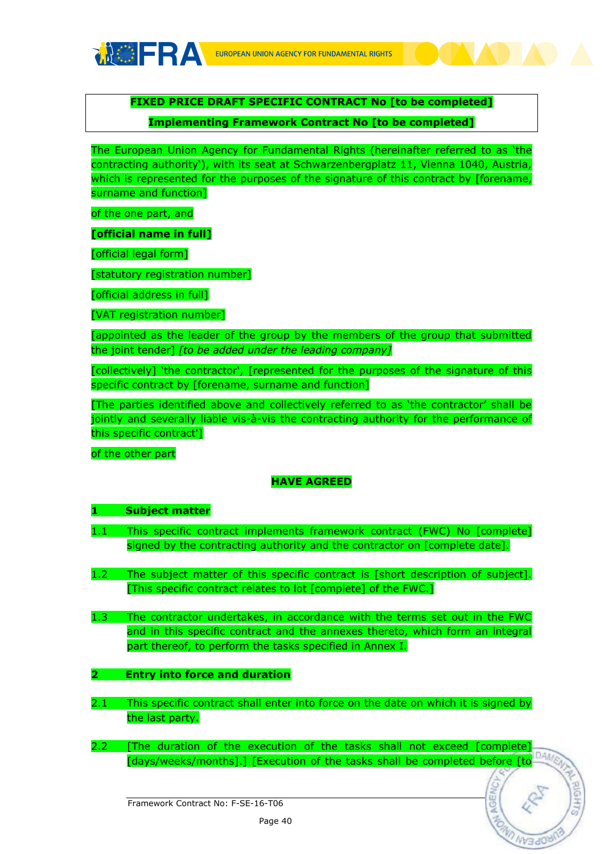

**FIXED PRICE DRAFT SPECIFIC CONTRACT No [to be completed]**

# **Implementing Framework Contract No [to be completed]**

The European Union Agency for Fundamental Rights (hereinafter referred to as 'the contracting authority'), with its seat at Schwarzenbergplatz 11, Vienna 1040, Austria, which is represented for the purposes of the signature of this contract by [forename, surname and function]

of the one part, and

**[official name in full]**

[official legal form]

[statutory registration number]

[official address in full]

[VAT registration number]

[appointed as the leader of the group by the members of the group that submitted the joint tender] *[to be added under the leading company]*

[collectively] 'the contractor', [represented for the purposes of the signature of this specific contract by [forename, surname and function]

[The parties identified above and collectively referred to as 'the contractor' shall be jointly and severally liable vis-à-vis the contracting authority for the performance of this specific contract']

of the other part

# **HAVE AGREED**

# **1 Subject matter**

- 1.1 This specific contract implements framework contract (FWC) No [complete] signed by the contracting authority and the contractor on [complete date].
- 1.2 The subject matter of this specific contract is [short description of subject]. [This specific contract relates to lot [complete] of the FWC.]
- 1.3 The contractor undertakes, in accordance with the terms set out in the FWC and in this specific contract and the annexes thereto, which form an integral part thereof, to perform the tasks specified in Annex I.
- **2 Entry into force and duration**
- 2.1 This specific contract shall enter into force on the date on which it is signed by the last party.
- 2.2 [The duration of the execution of the tasks shall not exceed [complete] [days/weeks/months].] [Execution of the tasks shall be completed before [to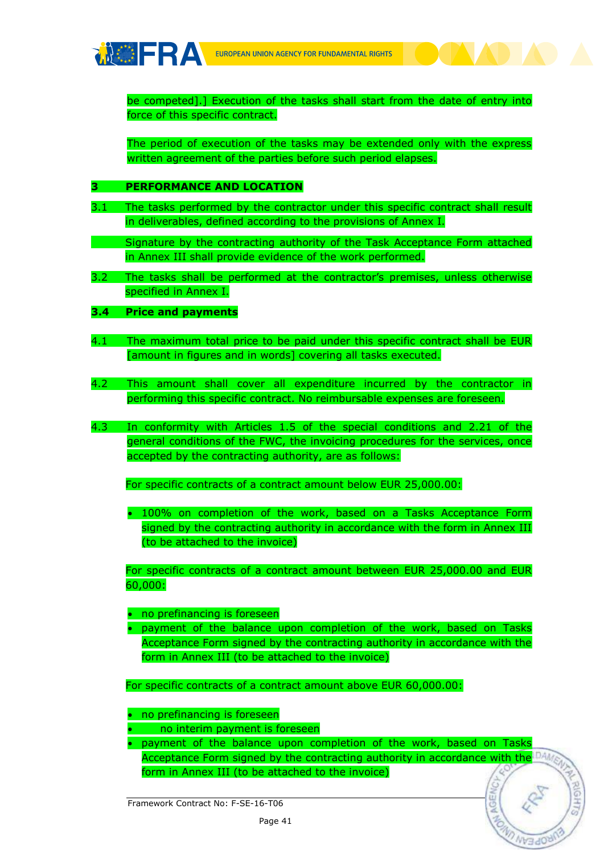

be competed].] Execution of the tasks shall start from the date of entry into force of this specific contract.

The period of execution of the tasks may be extended only with the express written agreement of the parties before such period elapses.

#### **3 PERFORMANCE AND LOCATION**

3.1 The tasks performed by the contractor under this specific contract shall result in deliverables, defined according to the provisions of Annex I.

Signature by the contracting authority of the Task Acceptance Form attached in Annex III shall provide evidence of the work performed.

3.2 The tasks shall be performed at the contractor's premises, unless otherwise specified in Annex I.

#### **3.4 Price and payments**

- 4.1 The maximum total price to be paid under this specific contract shall be EUR [amount in figures and in words] covering all tasks executed.
- 4.2 This amount shall cover all expenditure incurred by the contractor in performing this specific contract. No reimbursable expenses are foreseen.
- 4.3 In conformity with Articles 1.5 of the special conditions and 2.21 of the general conditions of the FWC, the invoicing procedures for the services, once accepted by the contracting authority, are as follows:

For specific contracts of a contract amount below EUR 25,000.00:

 100% on completion of the work, based on a Tasks Acceptance Form signed by the contracting authority in accordance with the form in Annex III (to be attached to the invoice)

For specific contracts of a contract amount between EUR 25,000.00 and EUR 60,000:

• no prefinancing is foreseen

 payment of the balance upon completion of the work, based on Tasks Acceptance Form signed by the contracting authority in accordance with the form in Annex III (to be attached to the invoice)

For specific contracts of a contract amount above EUR 60,000.00:

• no prefinancing is foreseen

no interim payment is foreseen

 payment of the balance upon completion of the work, based on Tasks Acceptance Form signed by the contracting authority in accordance with the DA form in Annex III (to be attached to the invoice)

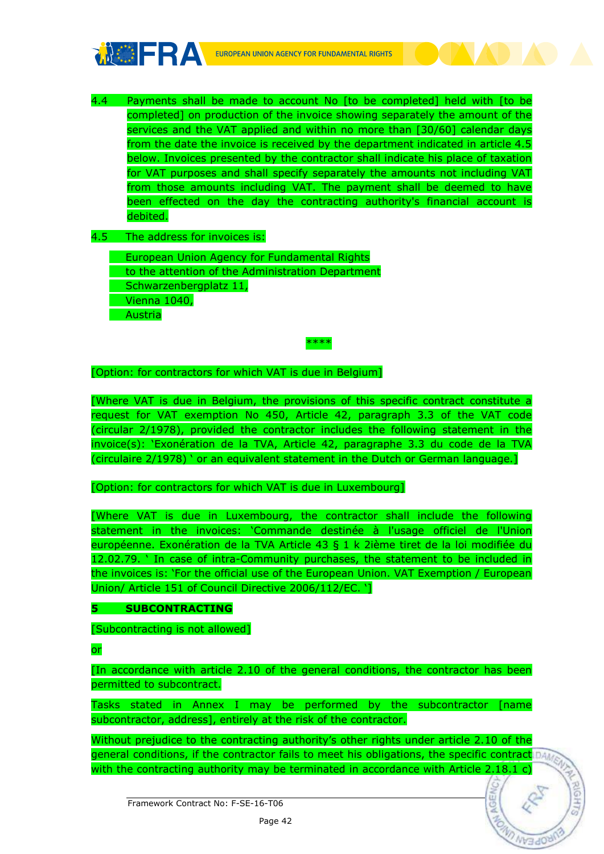

4.4 Payments shall be made to account No [to be completed] held with [to be completed] on production of the invoice showing separately the amount of the services and the VAT applied and within no more than [30/60] calendar days from the date the invoice is received by the department indicated in article 4.5 below. Invoices presented by the contractor shall indicate his place of taxation for VAT purposes and shall specify separately the amounts not including VAT from those amounts including VAT. The payment shall be deemed to have been effected on the day the contracting authority's financial account is debited.

4.5 The address for invoices is:

European Union Agency for Fundamental Rights to the attention of the Administration Department Schwarzenbergplatz 11, Vienna 1040, Austria

#### \*\*\*\*

[Option: for contractors for which VAT is due in Belgium]

[Where VAT is due in Belgium, the provisions of this specific contract constitute a request for VAT exemption No 450, Article 42, paragraph 3.3 of the VAT code (circular 2/1978), provided the contractor includes the following statement in the invoice(s): 'Exonération de la TVA, Article 42, paragraphe 3.3 du code de la TVA (circulaire 2/1978) ' or an equivalent statement in the Dutch or German language.]

[Option: for contractors for which VAT is due in Luxembourg]

[Where VAT is due in Luxembourg, the contractor shall include the following statement in the invoices: 'Commande destinée à l'usage officiel de l'Union européenne. Exonération de la TVA Article 43 § 1 k 2ième tiret de la loi modifiée du 12.02.79. ' In case of intra-Community purchases, the statement to be included in the invoices is: 'For the official use of the European Union. VAT Exemption / European Union/ Article 151 of Council Directive 2006/112/EC. ']

# **5 SUBCONTRACTING**

[Subcontracting is not allowed]

or

[In accordance with article 2.10 of the general conditions, the contractor has been permitted to subcontract.

Tasks stated in Annex I may be performed by the subcontractor [name subcontractor, address], entirely at the risk of the contractor.

Without prejudice to the contracting authority's other rights under article 2.10 of the general conditions, if the contractor fails to meet his obligations, the specific contractions with the contracting authority may be terminated in accordance with Article 2.18.1 c)

Framework Contract No: F-SE-16-T06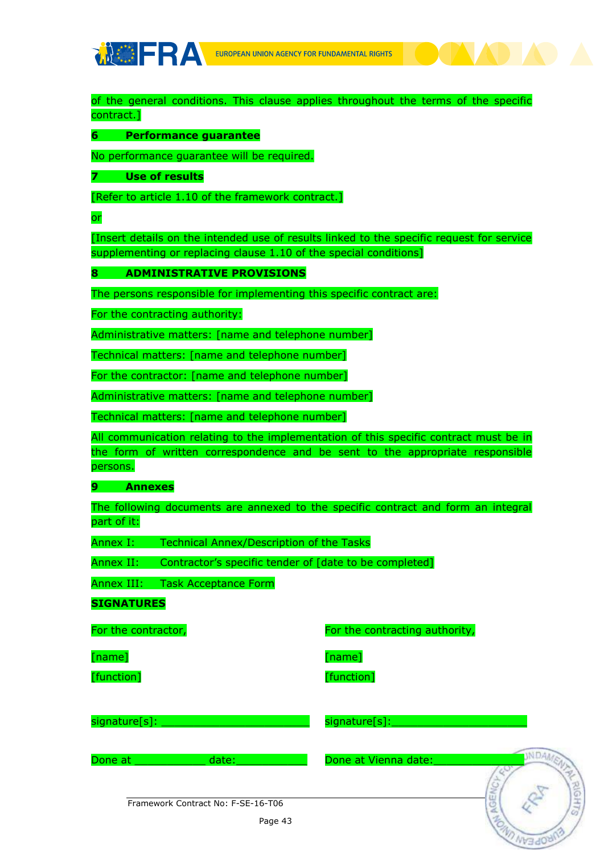

of the general conditions. This clause applies throughout the terms of the specific contract.]

**6 Performance guarantee**

No performance guarantee will be required.

**7 Use of results**

[Refer to article 1.10 of the framework contract.]

or

[Insert details on the intended use of results linked to the specific request for service supplementing or replacing clause 1.10 of the special conditions]

**8 ADMINISTRATIVE PROVISIONS**

The persons responsible for implementing this specific contract are:

For the contracting authority:

Administrative matters: [name and telephone number]

Technical matters: [name and telephone number]

For the contractor: [name and telephone number]

Administrative matters: [name and telephone number]

Technical matters: [name and telephone number]

All communication relating to the implementation of this specific contract must be in the form of written correspondence and be sent to the appropriate responsible persons.

#### **9 Annexes**

The following documents are annexed to the specific contract and form an integral part of it:

Annex I: Technical Annex/Description of the Tasks

Annex II: Contractor's specific tender of [date to be completed]

Annex III: Task Acceptance Form

**SIGNATURES**

For the contractor, **For the contracting authority**,

[name]

[function]

[name]

[function]

signature[s]: \_\_\_\_\_\_\_\_\_\_\_\_\_\_\_\_\_\_\_\_\_\_\_

signature[s]:\_\_\_\_\_\_\_\_\_\_\_\_\_\_\_\_\_\_\_\_\_

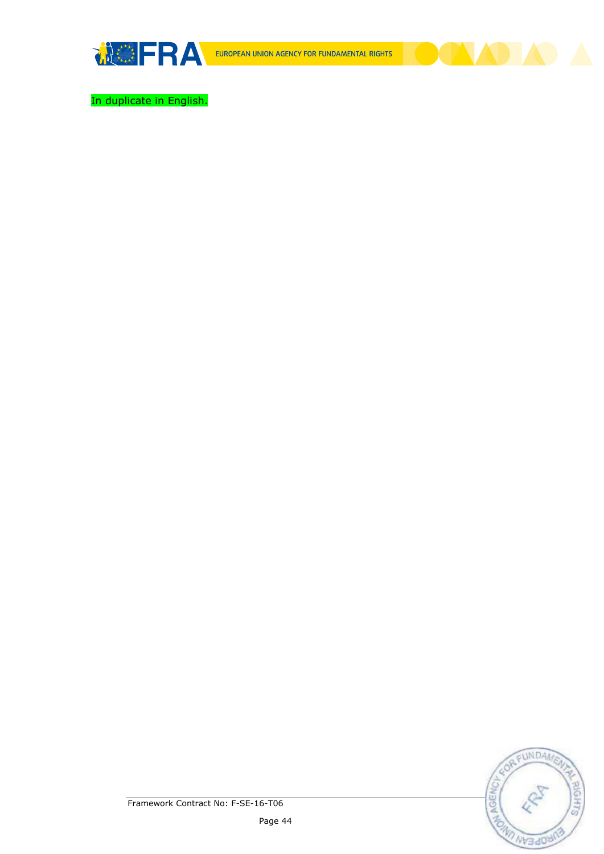

In duplicate in English.

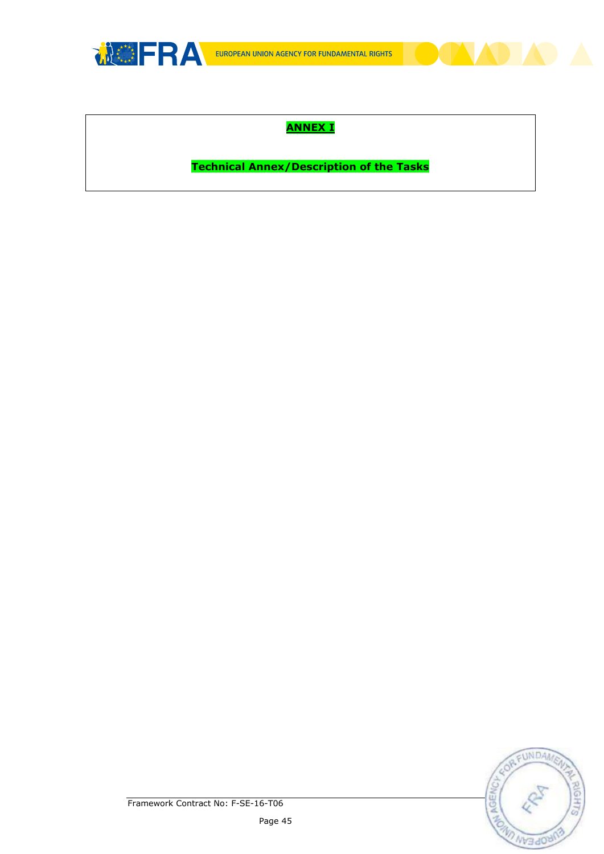

# **ANNEX I**

**Technical Annex/Description of the Tasks**

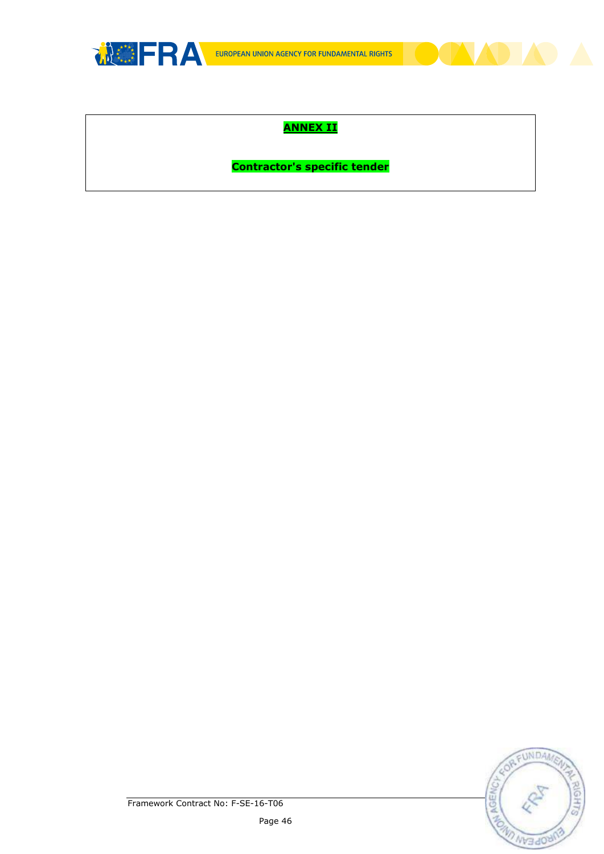

# **ANNEX II**

**Contractor's specific tender**



Framework Contract No: F-SE-16-T06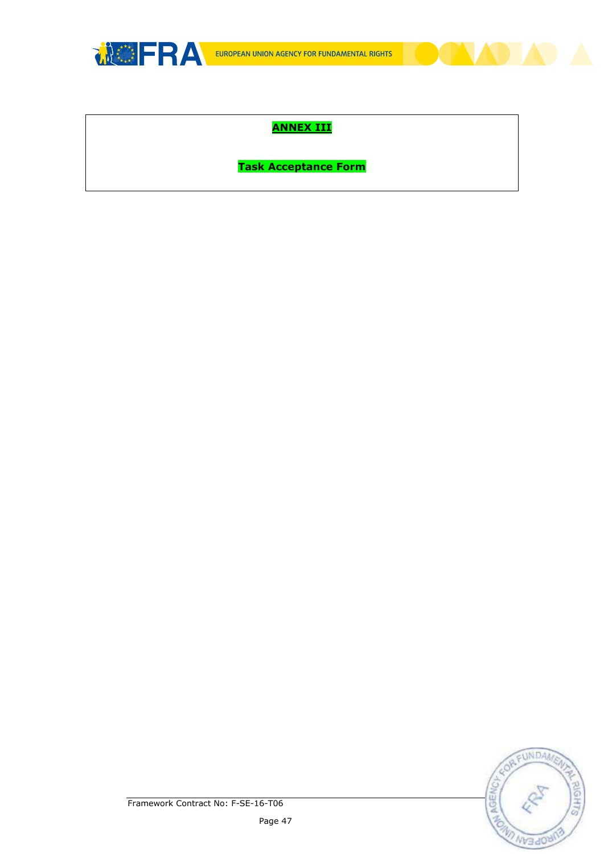

# **ANNEX III**

**Task Acceptance Form**

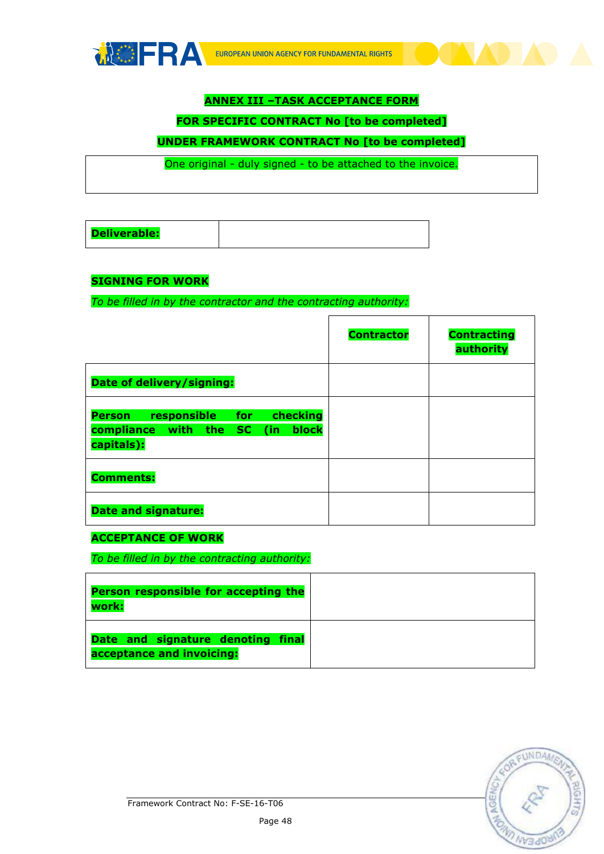

# **ANNEX III –TASK ACCEPTANCE FORM**

#### **FOR SPECIFIC CONTRACT No [to be completed]**

# **UNDER FRAMEWORK CONTRACT No [to be completed]**

One original - duly signed - to be attached to the invoice.

| <b>Deliverable:</b> |  |
|---------------------|--|
|---------------------|--|

#### **SIGNING FOR WORK**

*To be filled in by the contractor and the contracting authority:*

|                                                                                                          | <b>Contractor</b> | <b>Contracting</b><br>authority |
|----------------------------------------------------------------------------------------------------------|-------------------|---------------------------------|
| Date of delivery/signing:                                                                                |                   |                                 |
| <b>responsible</b> for<br>checking<br><b>Person</b><br>block<br>compliance with the SC (in<br>capitals): |                   |                                 |
| <b>Comments:</b>                                                                                         |                   |                                 |
| <b>Date and signature:</b>                                                                               |                   |                                 |

'n

#### **ACCEPTANCE OF WORK**

*To be filled in by the contracting authority:*

| Person responsible for accepting the<br>work:                  |  |
|----------------------------------------------------------------|--|
| Date and signature denoting final<br>acceptance and invoicing: |  |

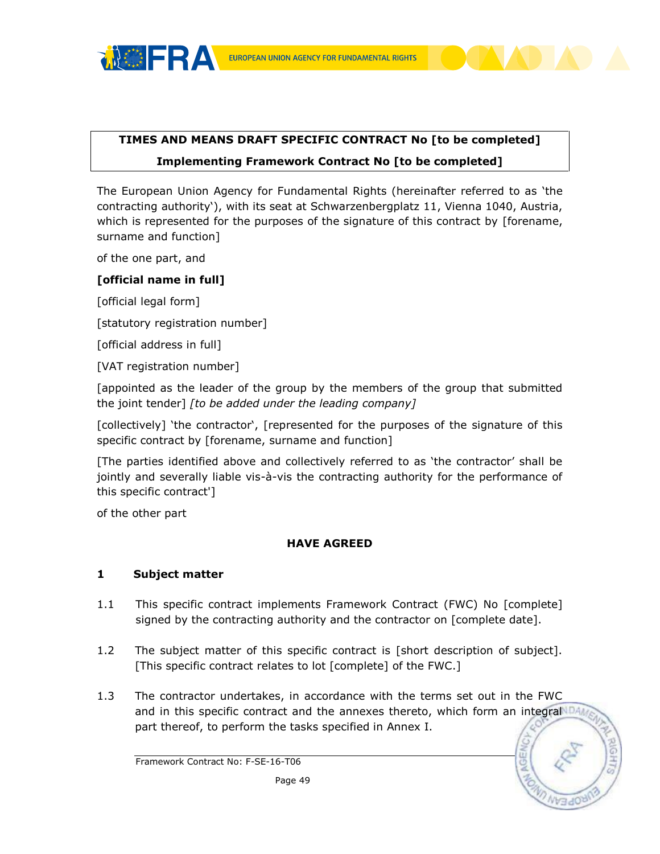

# **TIMES AND MEANS DRAFT SPECIFIC CONTRACT No [to be completed] Implementing Framework Contract No [to be completed]**

The European Union Agency for Fundamental Rights (hereinafter referred to as 'the contracting authority'), with its seat at Schwarzenbergplatz 11, Vienna 1040, Austria, which is represented for the purposes of the signature of this contract by [forename, surname and function]

of the one part, and

## **[official name in full]**

[official legal form]

[statutory registration number]

[official address in full]

[VAT registration number]

[appointed as the leader of the group by the members of the group that submitted the joint tender] *[to be added under the leading company]*

[collectively] 'the contractor', [represented for the purposes of the signature of this specific contract by [forename, surname and function]

[The parties identified above and collectively referred to as 'the contractor' shall be jointly and severally liable vis-à-vis the contracting authority for the performance of this specific contract']

of the other part

#### **HAVE AGREED**

#### **1 Subject matter**

- 1.1 This specific contract implements Framework Contract (FWC) No [complete] signed by the contracting authority and the contractor on [complete date].
- 1.2 The subject matter of this specific contract is [short description of subject]. [This specific contract relates to lot [complete] of the FWC.]
- 1.3 The contractor undertakes, in accordance with the terms set out in the FWC and in this specific contract and the annexes thereto, which form an integralNDA part thereof, to perform the tasks specified in Annex I.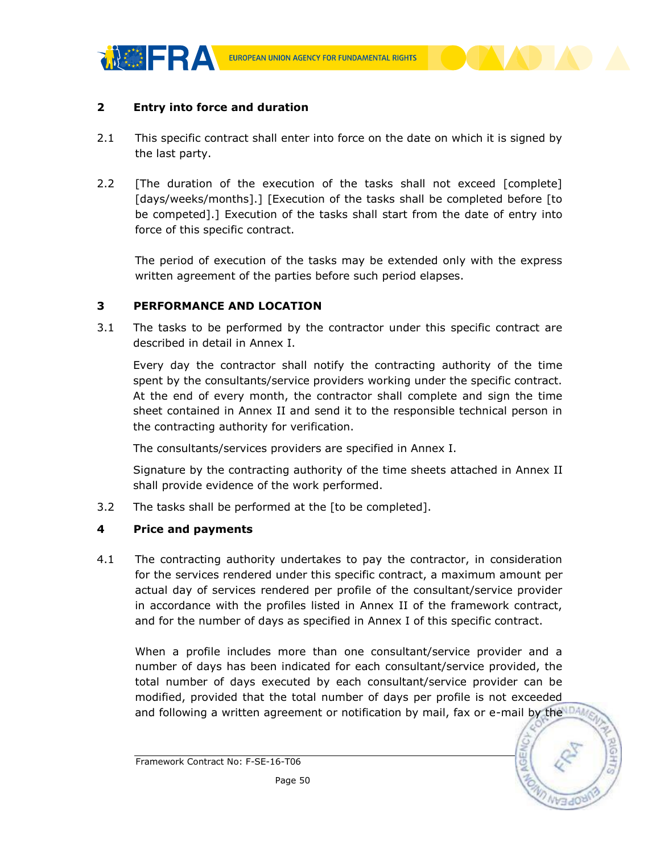

#### **2 Entry into force and duration**

- 2.1 This specific contract shall enter into force on the date on which it is signed by the last party.
- 2.2 [The duration of the execution of the tasks shall not exceed [complete] [days/weeks/months].] [Execution of the tasks shall be completed before [to be competed].] Execution of the tasks shall start from the date of entry into force of this specific contract.

The period of execution of the tasks may be extended only with the express written agreement of the parties before such period elapses.

#### **3 PERFORMANCE AND LOCATION**

3.1 The tasks to be performed by the contractor under this specific contract are described in detail in Annex I.

Every day the contractor shall notify the contracting authority of the time spent by the consultants/service providers working under the specific contract. At the end of every month, the contractor shall complete and sign the time sheet contained in Annex II and send it to the responsible technical person in the contracting authority for verification.

The consultants/services providers are specified in Annex I.

Signature by the contracting authority of the time sheets attached in Annex II shall provide evidence of the work performed.

3.2 The tasks shall be performed at the [to be completed].

#### **4 Price and payments**

4.1 The contracting authority undertakes to pay the contractor, in consideration for the services rendered under this specific contract, a maximum amount per actual day of services rendered per profile of the consultant/service provider in accordance with the profiles listed in Annex II of the framework contract, and for the number of days as specified in Annex I of this specific contract.

When a profile includes more than one consultant/service provider and a number of days has been indicated for each consultant/service provided, the total number of days executed by each consultant/service provider can be modified, provided that the total number of days per profile is not exceeded and following a written agreement or notification by mail, fax or e-mail by the  $104$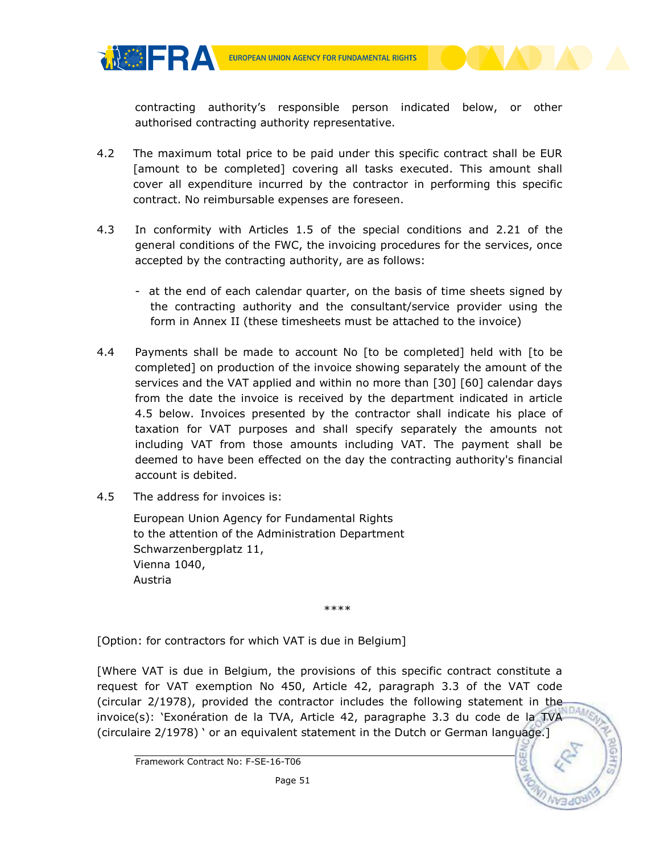

contracting authority's responsible person indicated below, or other authorised contracting authority representative.

- 4.2 The maximum total price to be paid under this specific contract shall be EUR [amount to be completed] covering all tasks executed. This amount shall cover all expenditure incurred by the contractor in performing this specific contract. No reimbursable expenses are foreseen.
- 4.3 In conformity with Articles 1.5 of the special conditions and 2.21 of the general conditions of the FWC, the invoicing procedures for the services, once accepted by the contracting authority, are as follows:
	- at the end of each calendar quarter, on the basis of time sheets signed by the contracting authority and the consultant/service provider using the form in Annex II (these timesheets must be attached to the invoice)
- 4.4 Payments shall be made to account No [to be completed] held with [to be completed] on production of the invoice showing separately the amount of the services and the VAT applied and within no more than [30] [60] calendar days from the date the invoice is received by the department indicated in article 4.5 below. Invoices presented by the contractor shall indicate his place of taxation for VAT purposes and shall specify separately the amounts not including VAT from those amounts including VAT. The payment shall be deemed to have been effected on the day the contracting authority's financial account is debited.
- 4.5 The address for invoices is:

**MOFRA** 

European Union Agency for Fundamental Rights to the attention of the Administration Department Schwarzenbergplatz 11, Vienna 1040, Austria

\*\*\*\*

[Option: for contractors for which VAT is due in Belgium]

[Where VAT is due in Belgium, the provisions of this specific contract constitute a request for VAT exemption No 450, Article 42, paragraph 3.3 of the VAT code (circular 2/1978), provided the contractor includes the following statement in the invoice(s): 'Exonération de la TVA, Article 42, paragraphe 3.3 du code de la TVA (circulaire 2/1978) ' or an equivalent statement in the Dutch or German language.]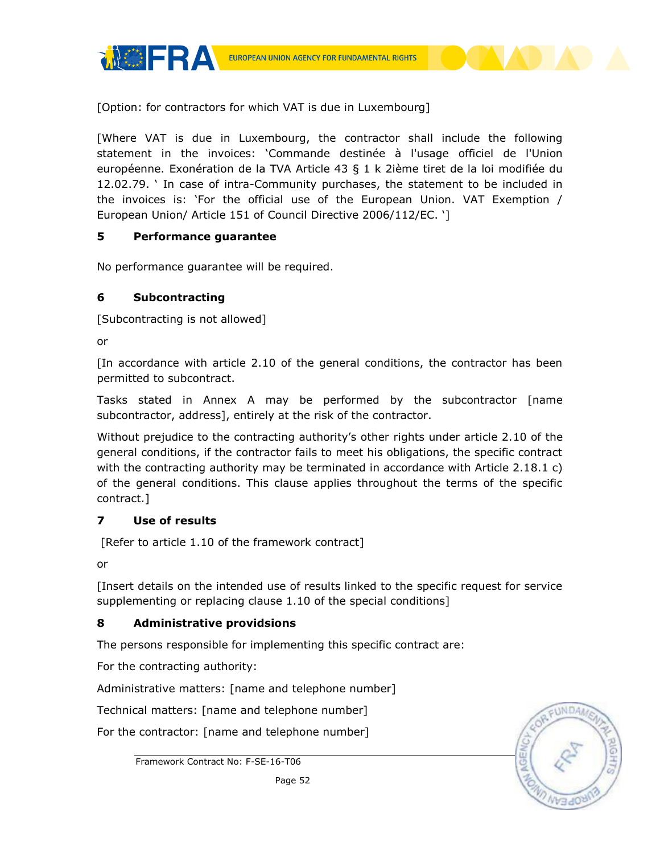**MOFRA** 

[Option: for contractors for which VAT is due in Luxembourg]

[Where VAT is due in Luxembourg, the contractor shall include the following statement in the invoices: 'Commande destinée à l'usage officiel de l'Union européenne. Exonération de la TVA Article 43 § 1 k 2ième tiret de la loi modifiée du 12.02.79. ' In case of intra-Community purchases, the statement to be included in the invoices is: 'For the official use of the European Union. VAT Exemption / European Union/ Article 151 of Council Directive 2006/112/EC. ']

## **5 Performance guarantee**

No performance guarantee will be required.

## **6 Subcontracting**

[Subcontracting is not allowed]

or

[In accordance with article 2.10 of the general conditions, the contractor has been permitted to subcontract.

Tasks stated in Annex A may be performed by the subcontractor [name subcontractor, address], entirely at the risk of the contractor.

Without prejudice to the contracting authority's other rights under article 2.10 of the general conditions, if the contractor fails to meet his obligations, the specific contract with the contracting authority may be terminated in accordance with Article 2.18.1 c) of the general conditions. This clause applies throughout the terms of the specific contract.]

# **7 Use of results**

[Refer to article 1.10 of the framework contract]

or

[Insert details on the intended use of results linked to the specific request for service supplementing or replacing clause 1.10 of the special conditions]

# **8 Administrative providsions**

The persons responsible for implementing this specific contract are:

For the contracting authority:

Administrative matters: [name and telephone number]

Technical matters: [name and telephone number]

For the contractor: [name and telephone number]



Framework Contract No: F-SE-16-T06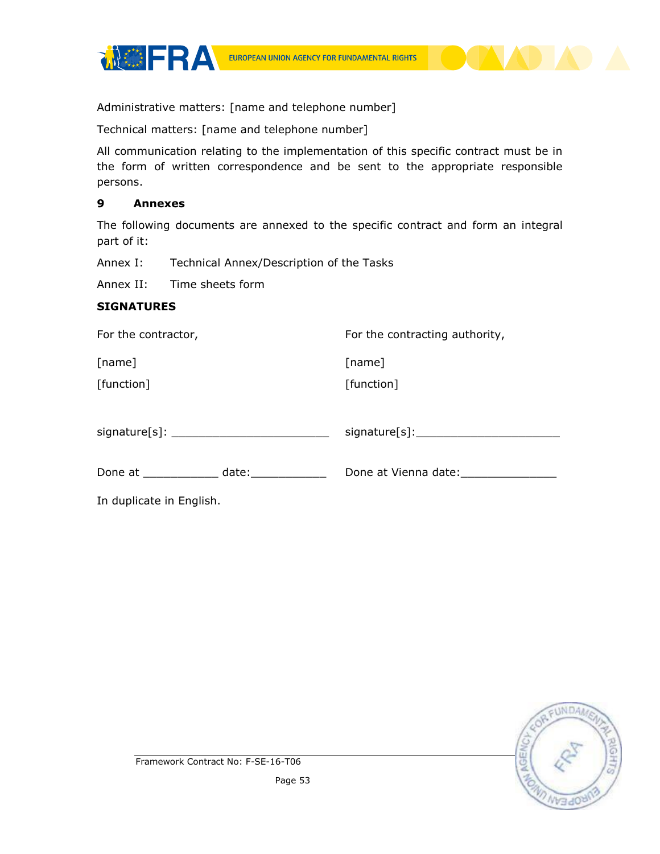



Administrative matters: [name and telephone number]

Technical matters: [name and telephone number]

All communication relating to the implementation of this specific contract must be in the form of written correspondence and be sent to the appropriate responsible persons.

#### **9 Annexes**

The following documents are annexed to the specific contract and form an integral part of it:

Annex I: Technical Annex/Description of the Tasks

Annex II: Time sheets form

#### **SIGNATURES**

| For the contractor,      | For the contracting authority, |  |
|--------------------------|--------------------------------|--|
| [name]                   | [name]                         |  |
| [function]               | [function]                     |  |
|                          |                                |  |
|                          |                                |  |
|                          |                                |  |
|                          | Done at Vienna date:           |  |
| In duplicate in English. |                                |  |
|                          |                                |  |

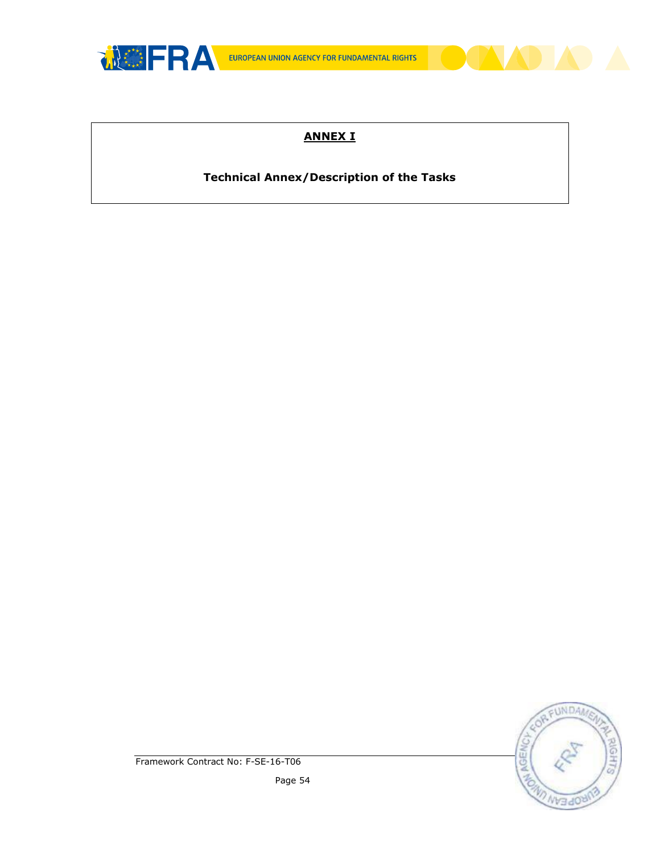

# **ANNEX I**

# **Technical Annex/Description of the Tasks**

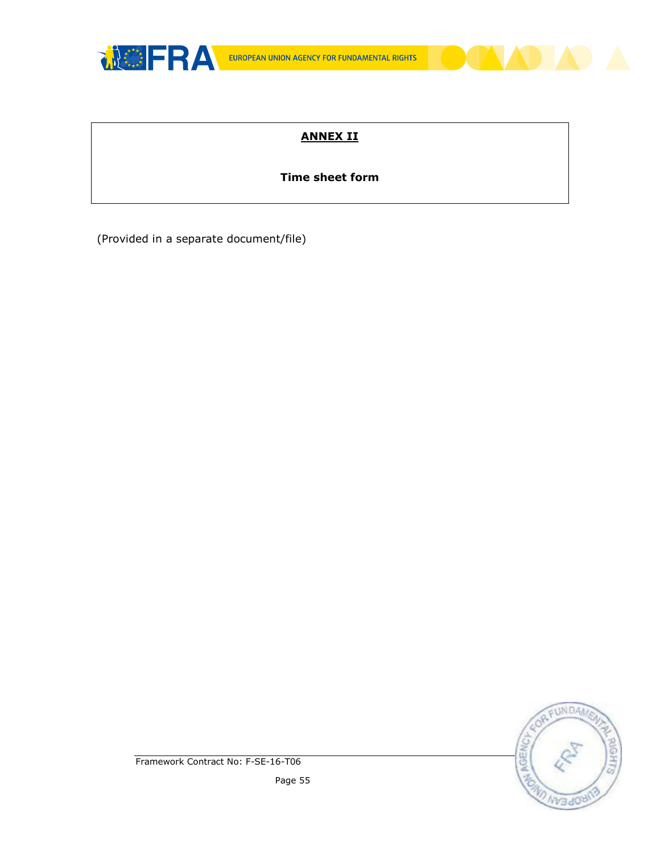

# **ANNEX II**

# **Time sheet form**

(Provided in a separate document/file)

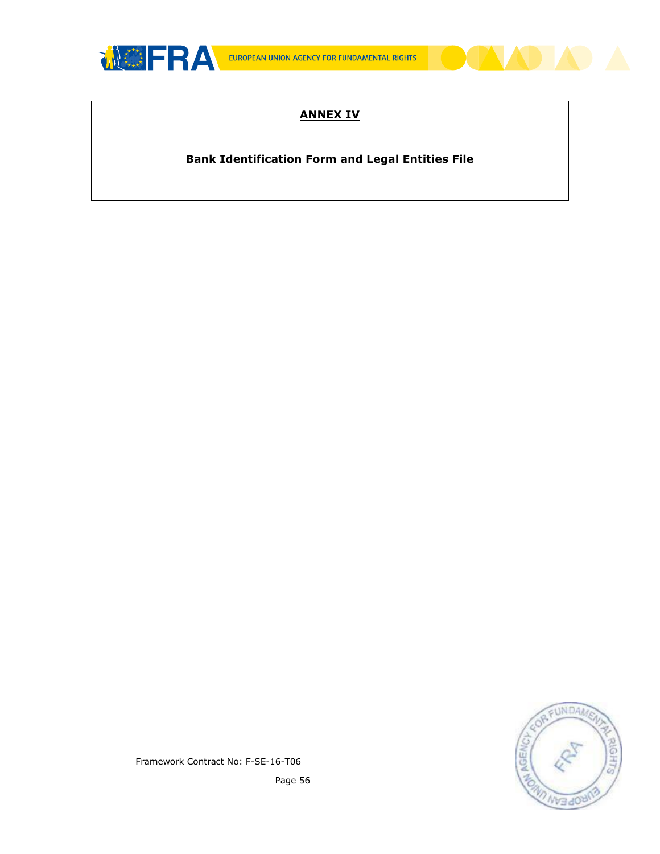

# **ANNEX IV**

**Bank Identification Form and Legal Entities File**